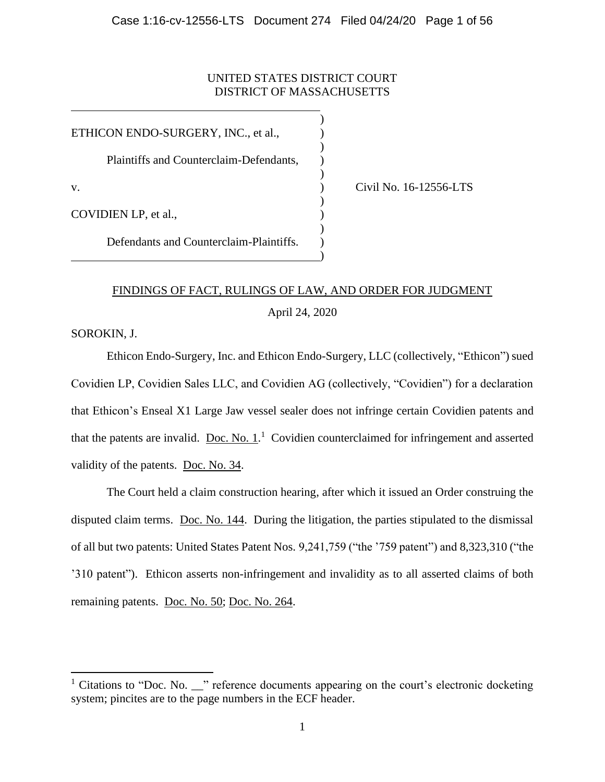# UNITED STATES DISTRICT COURT DISTRICT OF MASSACHUSETTS

)

)

)

)

)

)

ETHICON ENDO-SURGERY, INC., et al., Plaintiffs and Counterclaim-Defendants, v. ) Civil No. 16-12556-LTS COVIDIEN LP, et al., Defendants and Counterclaim-Plaintiffs. )

# FINDINGS OF FACT, RULINGS OF LAW, AND ORDER FOR JUDGMENT

April 24, 2020

SOROKIN, J.

Ethicon Endo-Surgery, Inc. and Ethicon Endo-Surgery, LLC (collectively, "Ethicon") sued Covidien LP, Covidien Sales LLC, and Covidien AG (collectively, "Covidien") for a declaration that Ethicon's Enseal X1 Large Jaw vessel sealer does not infringe certain Covidien patents and that the patents are invalid.  $\overline{Doc}$ . [No. 1.](https://ecf.mad.uscourts.gov/doc1/09517818986)<sup>1</sup> Covidien counterclaimed for infringement and asserted validity of the patents. [Doc. No. 34.](https://ecf.mad.uscourts.gov/doc1/09518029248)

The Court held a claim construction hearing, after which it issued an Order construing the disputed claim terms. [Doc. No. 144.](https://ecf.mad.uscourts.gov/doc1/09518759534) During the litigation, the parties stipulated to the dismissal of all but two patents: United States Patent Nos. 9,241,759 ("the '759 patent") and 8,323,310 ("the '310 patent"). Ethicon asserts non-infringement and invalidity as to all asserted claims of both remaining patents. [Doc. No. 50;](https://ecf.mad.uscourts.gov/doc1/09518088221) [Doc. No. 264.](https://ecf.mad.uscourts.gov/doc1/09519798050)

 $1$  Citations to "Doc. No.  $\blacksquare$ " reference documents appearing on the court's electronic docketing system; pincites are to the page numbers in the ECF header.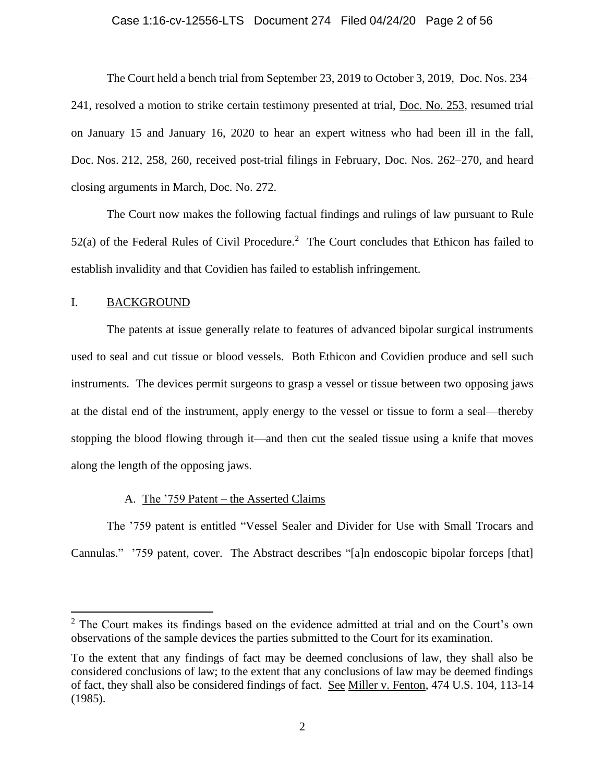### Case 1:16-cv-12556-LTS Document 274 Filed 04/24/20 Page 2 of 56

The Court held a bench trial from September 23, 2019 to October 3, 2019, Doc. Nos. 234– 241, resolved a motion to strike certain testimony presented at trial, [Doc. No. 253,](https://ecf.mad.uscourts.gov/doc1/09519655233) resumed trial on January 15 and January 16, 2020 to hear an expert witness who had been ill in the fall, Doc. Nos. 212, 258, 260, received post-trial filings in February, Doc. Nos. 262–270, and heard closing arguments in March, Doc. No. 272.

The Court now makes the following factual findings and rulings of law pursuant to Rule  $52(a)$  of the Federal Rules of Civil Procedure.<sup>2</sup> The Court concludes that Ethicon has failed to establish invalidity and that Covidien has failed to establish infringement.

# I. BACKGROUND

The patents at issue generally relate to features of advanced bipolar surgical instruments used to seal and cut tissue or blood vessels. Both Ethicon and Covidien produce and sell such instruments. The devices permit surgeons to grasp a vessel or tissue between two opposing jaws at the distal end of the instrument, apply energy to the vessel or tissue to form a seal—thereby stopping the blood flowing through it—and then cut the sealed tissue using a knife that moves along the length of the opposing jaws.

### A. The '759 Patent – the Asserted Claims

The '759 patent is entitled "Vessel Sealer and Divider for Use with Small Trocars and Cannulas." '759 patent, cover. The Abstract describes "[a]n endoscopic bipolar forceps [that]

 $2$  The Court makes its findings based on the evidence admitted at trial and on the Court's own observations of the sample devices the parties submitted to the Court for its examination.

To the extent that any findings of fact may be deemed conclusions of law, they shall also be considered conclusions of law; to the extent that any conclusions of law may be deemed findings of fact, they shall also be considered findings of fact. See Miller v. Fenton, 474 U.S. 104, 113-14 (1985).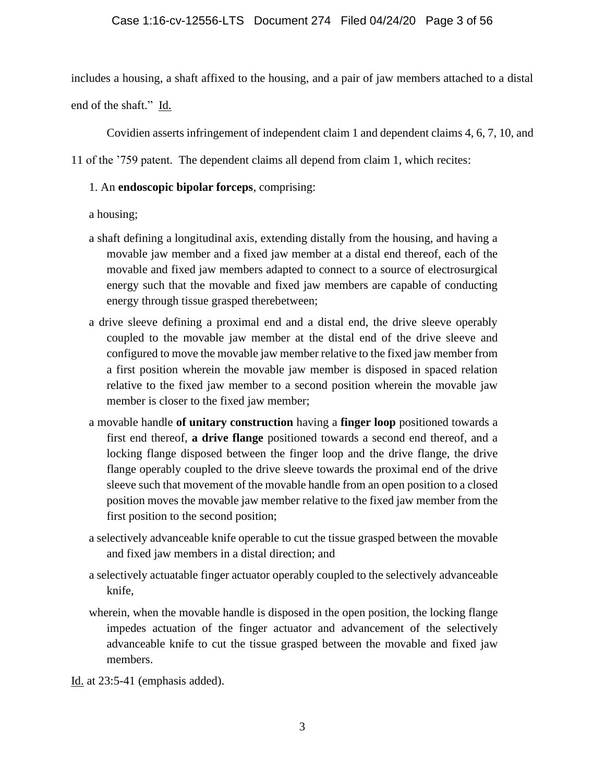includes a housing, a shaft affixed to the housing, and a pair of jaw members attached to a distal end of the shaft." Id.

Covidien asserts infringement of independent claim 1 and dependent claims 4, 6, 7, 10, and

11 of the '759 patent. The dependent claims all depend from claim 1, which recites:

# 1. An **endoscopic bipolar forceps**, comprising:

a housing;

- a shaft defining a longitudinal axis, extending distally from the housing, and having a movable jaw member and a fixed jaw member at a distal end thereof, each of the movable and fixed jaw members adapted to connect to a source of electrosurgical energy such that the movable and fixed jaw members are capable of conducting energy through tissue grasped therebetween;
- a drive sleeve defining a proximal end and a distal end, the drive sleeve operably coupled to the movable jaw member at the distal end of the drive sleeve and configured to move the movable jaw member relative to the fixed jaw member from a first position wherein the movable jaw member is disposed in spaced relation relative to the fixed jaw member to a second position wherein the movable jaw member is closer to the fixed jaw member;
- a movable handle **of unitary construction** having a **finger loop** positioned towards a first end thereof, **a drive flange** positioned towards a second end thereof, and a locking flange disposed between the finger loop and the drive flange, the drive flange operably coupled to the drive sleeve towards the proximal end of the drive sleeve such that movement of the movable handle from an open position to a closed position moves the movable jaw member relative to the fixed jaw member from the first position to the second position;
- a selectively advanceable knife operable to cut the tissue grasped between the movable and fixed jaw members in a distal direction; and
- a selectively actuatable finger actuator operably coupled to the selectively advanceable knife,
- wherein, when the movable handle is disposed in the open position, the locking flange impedes actuation of the finger actuator and advancement of the selectively advanceable knife to cut the tissue grasped between the movable and fixed jaw members.

Id. at 23:5-41 (emphasis added).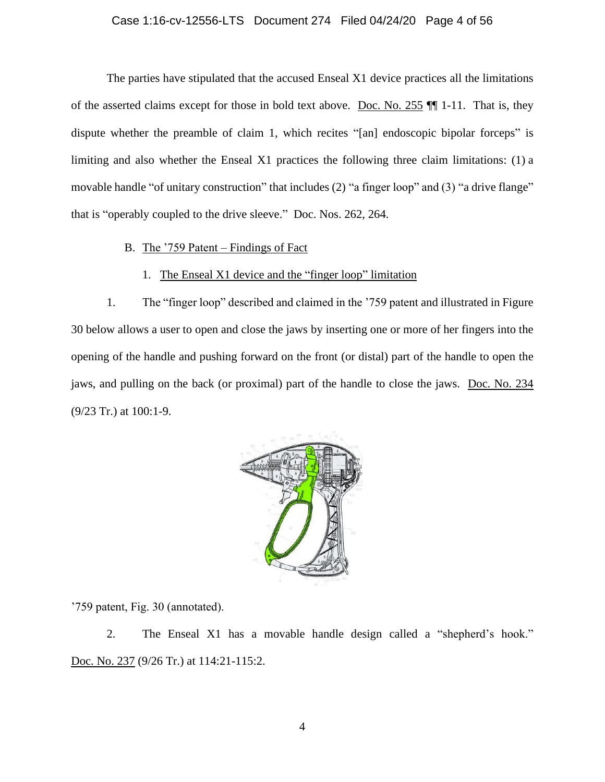# Case 1:16-cv-12556-LTS Document 274 Filed 04/24/20 Page 4 of 56

The parties have stipulated that the accused Enseal X1 device practices all the limitations of the asserted claims except for those in bold text above. [Doc. No. 255](https://ecf.mad.uscourts.gov/doc1/09519750907) ¶¶ 1-11. That is, they dispute whether the preamble of claim 1, which recites "[an] endoscopic bipolar forceps" is limiting and also whether the Enseal X1 practices the following three claim limitations: (1) a movable handle "of unitary construction" that includes (2) "a finger loop" and (3) "a drive flange" that is "operably coupled to the drive sleeve." Doc. Nos. 262, 264.

# B. The '759 Patent – Findings of Fact

# 1. The Enseal X1 device and the "finger loop" limitation

1. The "finger loop" described and claimed in the '759 patent and illustrated in Figure 30 below allows a user to open and close the jaws by inserting one or more of her fingers into the opening of the handle and pushing forward on the front (or distal) part of the handle to open the jaws, and pulling on the back (or proximal) part of the handle to close the jaws. [Doc. No. 234](https://ecf.mad.uscourts.gov/doc1/09519594155) (9/23 Tr.) at 100:1-9.



'759 patent, Fig. 30 (annotated).

2. The Enseal X1 has a movable handle design called a "shepherd's hook." [Doc.](https://ecf.mad.uscourts.gov/doc1/09519594168) No. 237 (9/26 Tr.) at 114:21-115:2.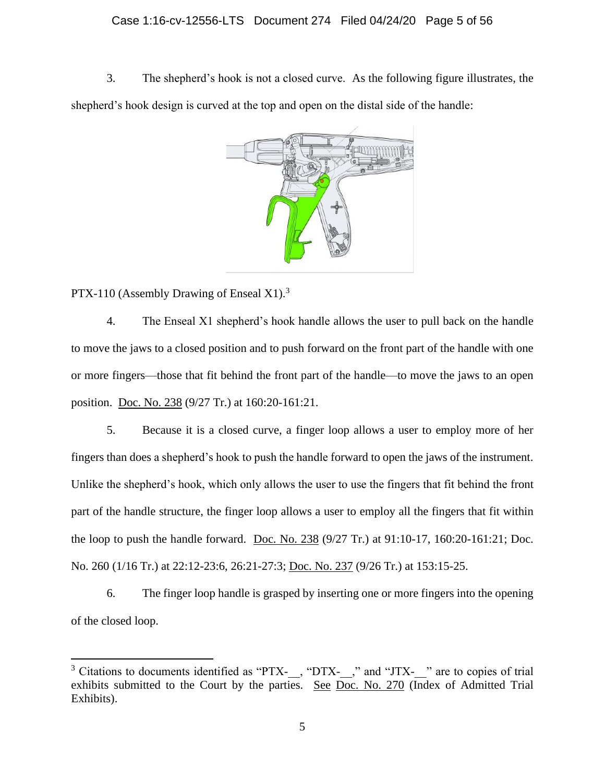# Case 1:16-cv-12556-LTS Document 274 Filed 04/24/20 Page 5 of 56

3. The shepherd's hook is not a closed curve. As the following figure illustrates, the shepherd's hook design is curved at the top and open on the distal side of the handle:



PTX-110 (Assembly Drawing of Enseal X1).<sup>3</sup>

4. The Enseal X1 shepherd's hook handle allows the user to pull back on the handle to move the jaws to a closed position and to push forward on the front part of the handle with one or more fingers—those that fit behind the front part of the handle—to move the jaws to an open position. [Doc. No. 238](https://ecf.mad.uscourts.gov/doc1/09519594181) (9/27 Tr.) at 160:20-161:21.

5. Because it is a closed curve, a finger loop allows a user to employ more of her fingers than does a shepherd's hook to push the handle forward to open the jaws of the instrument. Unlike the shepherd's hook, which only allows the user to use the fingers that fit behind the front part of the handle structure, the finger loop allows a user to employ all the fingers that fit within the loop to push the handle forward. [Doc. No. 238](https://ecf.mad.uscourts.gov/doc1/09519594181) (9/27 Tr.) at 91:10-17, 160:20-161:21; Doc. No. 260 (1/16 Tr.) at 22:12-23:6, 26:21-27:3; [Doc. No. 237](https://ecf.mad.uscourts.gov/doc1/09519594168) (9/26 Tr.) at 153:15-25.

6. The finger loop handle is grasped by inserting one or more fingers into the opening of the closed loop.

<sup>&</sup>lt;sup>3</sup> Citations to documents identified as "PTX-\_\_, "DTX-\_\_," and "JTX-\_\_" are to copies of trial exhibits submitted to the Court by the parties. See [Doc. No. 270](https://ecf.mad.uscourts.gov/doc1/09519855347) (Index of Admitted Trial Exhibits).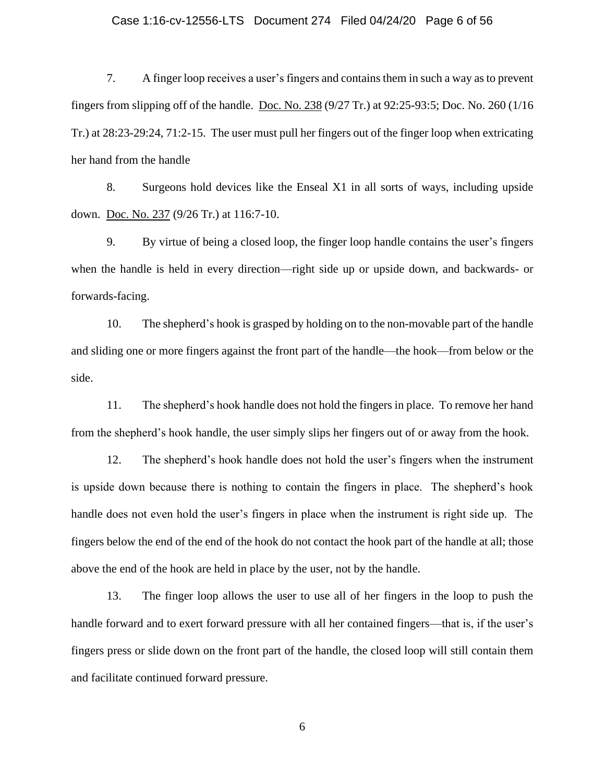# Case 1:16-cv-12556-LTS Document 274 Filed 04/24/20 Page 6 of 56

7. A finger loop receives a user's fingers and contains them in such a way as to prevent fingers from slipping off of the handle. [Doc. No. 238](https://ecf.mad.uscourts.gov/doc1/09519594181) (9/27 Tr.) at 92:25-93:5; Doc. No. 260 (1/16 Tr.) at 28:23-29:24, 71:2-15. The user must pull her fingers out of the finger loop when extricating her hand from the handle

8. Surgeons hold devices like the Enseal X1 in all sorts of ways, including upside down. [Doc. No. 237](https://ecf.mad.uscourts.gov/doc1/09519594168) (9/26 Tr.) at 116:7-10.

9. By virtue of being a closed loop, the finger loop handle contains the user's fingers when the handle is held in every direction—right side up or upside down, and backwards- or forwards-facing.

10. The shepherd's hook is grasped by holding on to the non-movable part of the handle and sliding one or more fingers against the front part of the handle—the hook—from below or the side.

11. The shepherd's hook handle does not hold the fingers in place. To remove her hand from the shepherd's hook handle, the user simply slips her fingers out of or away from the hook.

12. The shepherd's hook handle does not hold the user's fingers when the instrument is upside down because there is nothing to contain the fingers in place. The shepherd's hook handle does not even hold the user's fingers in place when the instrument is right side up. The fingers below the end of the end of the hook do not contact the hook part of the handle at all; those above the end of the hook are held in place by the user, not by the handle.

13. The finger loop allows the user to use all of her fingers in the loop to push the handle forward and to exert forward pressure with all her contained fingers—that is, if the user's fingers press or slide down on the front part of the handle, the closed loop will still contain them and facilitate continued forward pressure.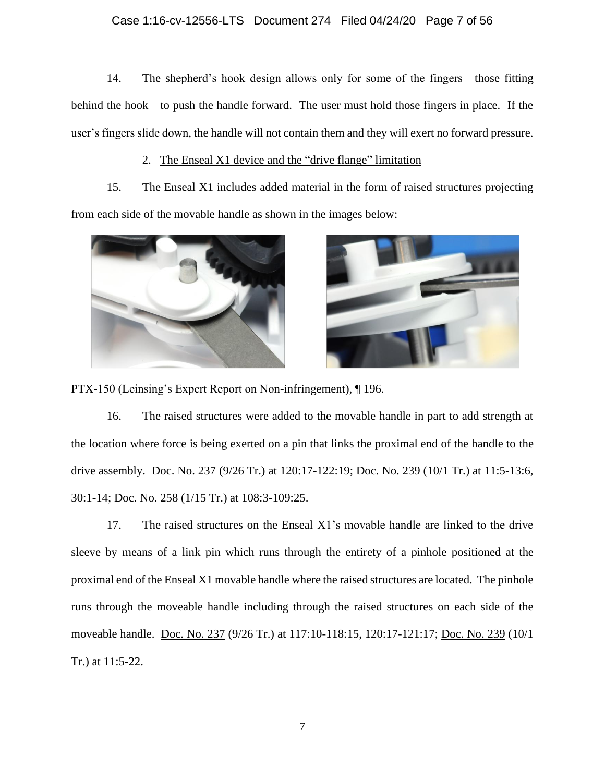# Case 1:16-cv-12556-LTS Document 274 Filed 04/24/20 Page 7 of 56

14. The shepherd's hook design allows only for some of the fingers—those fitting behind the hook—to push the handle forward. The user must hold those fingers in place. If the user's fingers slide down, the handle will not contain them and they will exert no forward pressure.

# 2. The Enseal X1 device and the "drive flange" limitation

15. The Enseal X1 includes added material in the form of raised structures projecting from each side of the movable handle as shown in the images below:





PTX-150 (Leinsing's Expert Report on Non-infringement), ¶ 196.

16. The raised structures were added to the movable handle in part to add strength at the location where force is being exerted on a pin that links the proximal end of the handle to the drive assembly. [Doc. No. 237](https://ecf.mad.uscourts.gov/doc1/09519594168) (9/26 Tr.) at 120:17-122:19; [Doc. No. 239](https://ecf.mad.uscourts.gov/doc1/09519594186) (10/1 Tr.) at 11:5-13:6, 30:1-14; Doc. No. 258 (1/15 Tr.) at 108:3-109:25.

17. The raised structures on the Enseal X1's movable handle are linked to the drive sleeve by means of a link pin which runs through the entirety of a pinhole positioned at the proximal end of the Enseal X1 movable handle where the raised structures are located. The pinhole runs through the moveable handle including through the raised structures on each side of the moveable handle. [Doc. No. 237](https://ecf.mad.uscourts.gov/doc1/09519594168) (9/26 Tr.) at 117:10-118:15, 120:17-121:17; [Doc. No. 239](https://ecf.mad.uscourts.gov/doc1/09519594186) (10/1) Tr.) at 11:5-22.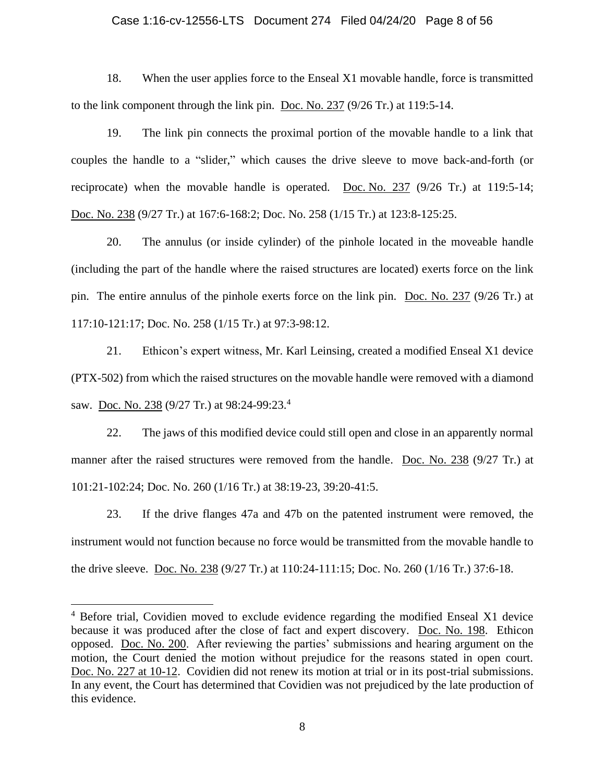### Case 1:16-cv-12556-LTS Document 274 Filed 04/24/20 Page 8 of 56

18. When the user applies force to the Enseal X1 movable handle, force is transmitted to the link component through the link pin. [Doc. No. 237](https://ecf.mad.uscourts.gov/doc1/09519594168) (9/26 Tr.) at 119:5-14.

19. The link pin connects the proximal portion of the movable handle to a link that couples the handle to a "slider," which causes the drive sleeve to move back-and-forth (or reciprocate) when the movable handle is operated. Doc. [No. 237](https://ecf.mad.uscourts.gov/doc1/09519594168) (9/26 Tr.) at 119:5-14; [Doc.](https://ecf.mad.uscourts.gov/doc1/09519594181) No. 238 (9/27 Tr.) at 167:6-168:2; Doc. No. 258 (1/15 Tr.) at 123:8-125:25.

20. The annulus (or inside cylinder) of the pinhole located in the moveable handle (including the part of the handle where the raised structures are located) exerts force on the link pin. The entire annulus of the pinhole exerts force on the link pin. [Doc. No. 237](https://ecf.mad.uscourts.gov/doc1/09519594168) (9/26 Tr.) at 117:10-121:17; Doc. No. 258 (1/15 Tr.) at 97:3-98:12.

21. Ethicon's expert witness, Mr. Karl Leinsing, created a modified Enseal X1 device (PTX-502) from which the raised structures on the movable handle were removed with a diamond saw. <u>[Doc. No. 238](https://ecf.mad.uscourts.gov/doc1/09519594181)</u> (9/27 Tr.) at 98:24-99:23.<sup>4</sup>

22. The jaws of this modified device could still open and close in an apparently normal manner after the raised structures were removed from the handle. [Doc. No. 238](https://ecf.mad.uscourts.gov/doc1/09519594181) (9/27 Tr.) at 101:21-102:24; Doc. No. 260 (1/16 Tr.) at 38:19-23, 39:20-41:5.

23. If the drive flanges 47a and 47b on the patented instrument were removed, the instrument would not function because no force would be transmitted from the movable handle to the drive sleeve. [Doc. No. 238](https://ecf.mad.uscourts.gov/doc1/09519594181) (9/27 Tr.) at 110:24-111:15; Doc. No. 260 (1/16 Tr.) 37:6-18.

<sup>&</sup>lt;sup>4</sup> Before trial, Covidien moved to exclude evidence regarding the modified Enseal X1 device because it was produced after the close of fact and expert discovery. [Doc. No. 198.](https://ecf.mad.uscourts.gov/doc1/09519463262) Ethicon opposed. [Doc. No. 200.](https://ecf.mad.uscourts.gov/doc1/09519489562) After reviewing the parties' submissions and hearing argument on the motion, the Court denied the motion without prejudice for the reasons stated in open court. Doc. [No. 227 at 10-12.](https://ecf.mad.uscourts.gov/doc1/09519570177?page=10) Covidien did not renew its motion at trial or in its post-trial submissions. In any event, the Court has determined that Covidien was not prejudiced by the late production of this evidence.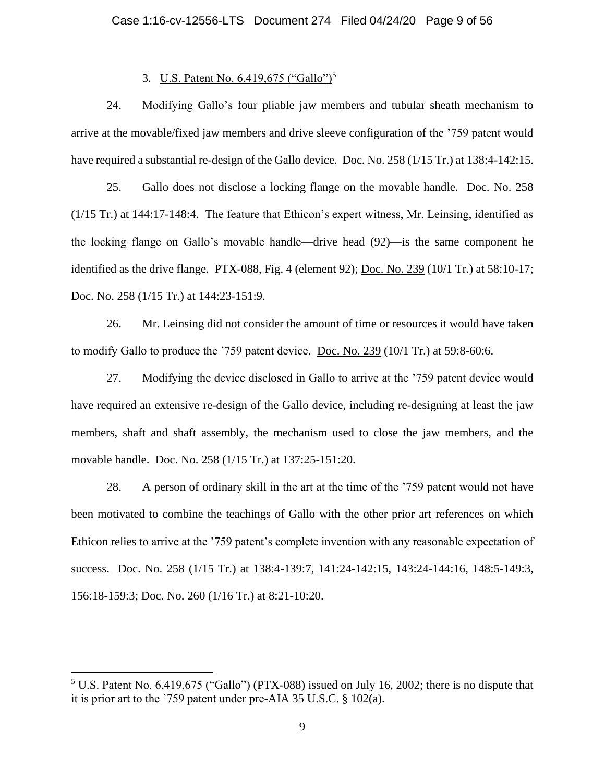# Case 1:16-cv-12556-LTS Document 274 Filed 04/24/20 Page 9 of 56

# 3. U.S. Patent No. 6,419,675 ("Gallo")<sup>5</sup>

24. Modifying Gallo's four pliable jaw members and tubular sheath mechanism to arrive at the movable/fixed jaw members and drive sleeve configuration of the '759 patent would have required a substantial re-design of the Gallo device. Doc. No. 258 (1/15 Tr.) at 138:4-142:15.

25. Gallo does not disclose a locking flange on the movable handle. Doc. No. 258 (1/15 Tr.) at 144:17-148:4. The feature that Ethicon's expert witness, Mr. Leinsing, identified as the locking flange on Gallo's movable handle—drive head (92)—is the same component he identified as the drive flange. PTX-088, Fig. 4 (element 92); [Doc. No. 239](https://ecf.mad.uscourts.gov/doc1/09519594186) (10/1 Tr.) at 58:10-17; Doc. No. 258 (1/15 Tr.) at 144:23-151:9.

26. Mr. Leinsing did not consider the amount of time or resources it would have taken to modify Gallo to produce the '759 patent device. Doc. No.  $239$  (10/1 Tr.) at 59:8-60:6.

27. Modifying the device disclosed in Gallo to arrive at the '759 patent device would have required an extensive re-design of the Gallo device, including re-designing at least the jaw members, shaft and shaft assembly, the mechanism used to close the jaw members, and the movable handle. Doc. No. 258 (1/15 Tr.) at 137:25-151:20.

28. A person of ordinary skill in the art at the time of the '759 patent would not have been motivated to combine the teachings of Gallo with the other prior art references on which Ethicon relies to arrive at the '759 patent's complete invention with any reasonable expectation of success. Doc. No. 258 (1/15 Tr.) at 138:4-139:7, 141:24-142:15, 143:24-144:16, 148:5-149:3, 156:18-159:3; Doc. No. 260 (1/16 Tr.) at 8:21-10:20.

<sup>5</sup> U.S. Patent No. 6,419,675 ("Gallo") (PTX-088) issued on July 16, 2002; there is no dispute that it is prior art to the '759 patent under pre-AIA 35 U.S.C. § 102(a).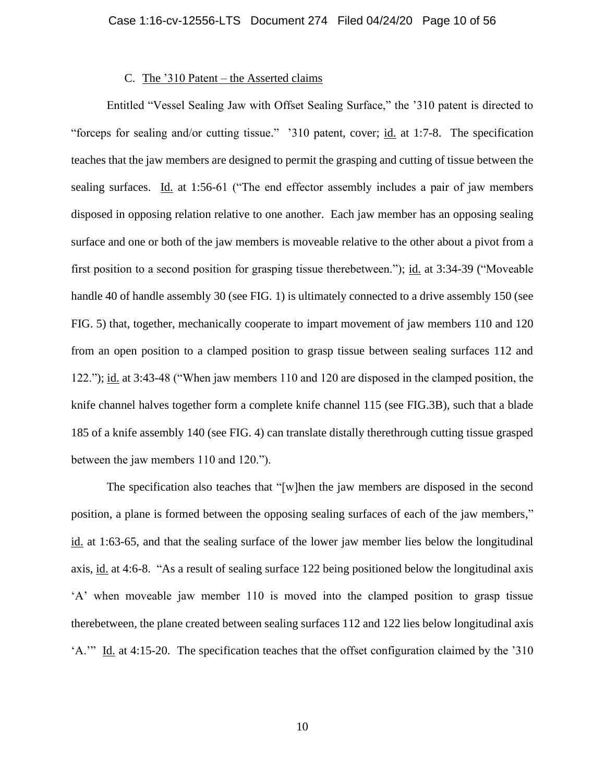# C. The '310 Patent – the Asserted claims

Entitled "Vessel Sealing Jaw with Offset Sealing Surface," the '310 patent is directed to "forceps for sealing and/or cutting tissue." '310 patent, cover; id. at 1:7-8. The specification teaches that the jaw members are designed to permit the grasping and cutting of tissue between the sealing surfaces. Id. at 1:56-61 ("The end effector assembly includes a pair of jaw members disposed in opposing relation relative to one another. Each jaw member has an opposing sealing surface and one or both of the jaw members is moveable relative to the other about a pivot from a first position to a second position for grasping tissue therebetween."); id. at 3:34-39 ("Moveable handle 40 of handle assembly 30 (see FIG. 1) is ultimately connected to a drive assembly 150 (see FIG. 5) that, together, mechanically cooperate to impart movement of jaw members 110 and 120 from an open position to a clamped position to grasp tissue between sealing surfaces 112 and 122."); id. at 3:43-48 ("When jaw members 110 and 120 are disposed in the clamped position, the knife channel halves together form a complete knife channel 115 (see FIG.3B), such that a blade 185 of a knife assembly 140 (see FIG. 4) can translate distally therethrough cutting tissue grasped between the jaw members 110 and 120.").

The specification also teaches that "[w]hen the jaw members are disposed in the second position, a plane is formed between the opposing sealing surfaces of each of the jaw members," id. at 1:63-65, and that the sealing surface of the lower jaw member lies below the longitudinal axis, id. at 4:6-8. "As a result of sealing surface 122 being positioned below the longitudinal axis 'A' when moveable jaw member 110 is moved into the clamped position to grasp tissue therebetween, the plane created between sealing surfaces 112 and 122 lies below longitudinal axis 'A.'" Id. at 4:15-20. The specification teaches that the offset configuration claimed by the '310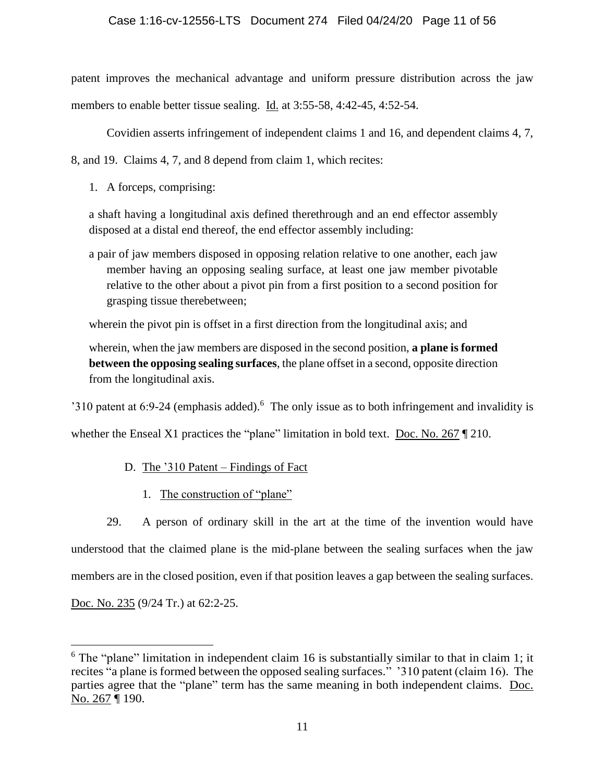# Case 1:16-cv-12556-LTS Document 274 Filed 04/24/20 Page 11 of 56

patent improves the mechanical advantage and uniform pressure distribution across the jaw members to enable better tissue sealing. Id. at 3:55-58, 4:42-45, 4:52-54.

Covidien asserts infringement of independent claims 1 and 16, and dependent claims 4, 7,

8, and 19. Claims 4, 7, and 8 depend from claim 1, which recites:

1. A forceps, comprising:

a shaft having a longitudinal axis defined therethrough and an end effector assembly disposed at a distal end thereof, the end effector assembly including:

a pair of jaw members disposed in opposing relation relative to one another, each jaw member having an opposing sealing surface, at least one jaw member pivotable relative to the other about a pivot pin from a first position to a second position for grasping tissue therebetween;

wherein the pivot pin is offset in a first direction from the longitudinal axis; and

wherein, when the jaw members are disposed in the second position, **a plane is formed between the opposing sealing surfaces**, the plane offset in a second, opposite direction from the longitudinal axis.

'310 patent at  $6:9-24$  (emphasis added).<sup>6</sup> The only issue as to both infringement and invalidity is

whether the Enseal X1 practices the "plane" limitation in bold text. [Doc. No. 267](https://ecf.mad.uscourts.gov/doc1/09519841755) ¶ 210.

- D. The '310 Patent Findings of Fact
	- 1. The construction of "plane"

29. A person of ordinary skill in the art at the time of the invention would have understood that the claimed plane is the mid-plane between the sealing surfaces when the jaw members are in the closed position, even if that position leaves a gap between the sealing surfaces.

[Doc. No. 235](https://ecf.mad.uscourts.gov/doc1/09519594160) (9/24 Tr.) at 62:2-25.

 $6$  The "plane" limitation in independent claim 16 is substantially similar to that in claim 1; it recites "a plane is formed between the opposed sealing surfaces." '310 patent (claim 16). The parties agree that the "plane" term has the same meaning in both independent claims. [Doc.](https://ecf.mad.uscourts.gov/doc1/09519841755)  [No. 267](https://ecf.mad.uscourts.gov/doc1/09519841755) ¶ 190.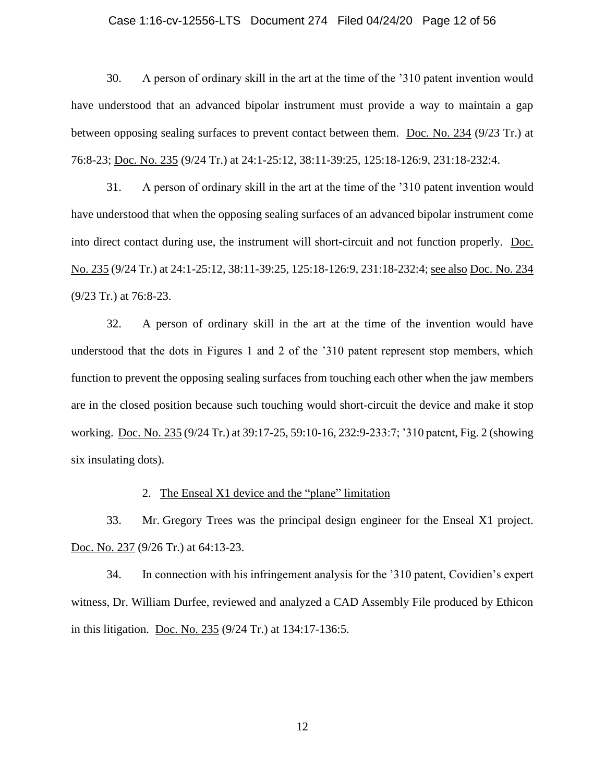#### Case 1:16-cv-12556-LTS Document 274 Filed 04/24/20 Page 12 of 56

30. A person of ordinary skill in the art at the time of the '310 patent invention would have understood that an advanced bipolar instrument must provide a way to maintain a gap between opposing sealing surfaces to prevent contact between them. [Doc. No. 234](https://ecf.mad.uscourts.gov/doc1/09519594155) (9/23 Tr.) at 76:8-23; [Doc. No. 235](https://ecf.mad.uscourts.gov/doc1/09519594160) (9/24 Tr.) at 24:1-25:12, 38:11-39:25, 125:18-126:9, 231:18-232:4.

31. A person of ordinary skill in the art at the time of the '310 patent invention would have understood that when the opposing sealing surfaces of an advanced bipolar instrument come into direct contact during use, the instrument will short-circuit and not function properly. [Doc.](https://ecf.mad.uscourts.gov/doc1/09519594160)  [No. 235](https://ecf.mad.uscourts.gov/doc1/09519594160) (9/24 Tr.) at 24:1-25:12, 38:11-39:25, 125:18-126:9, 231:18-232:4; see also Doc. [No. 234](https://ecf.mad.uscourts.gov/doc1/09519594155) (9/23 Tr.) at 76:8-23.

32. A person of ordinary skill in the art at the time of the invention would have understood that the dots in Figures 1 and 2 of the '310 patent represent stop members, which function to prevent the opposing sealing surfaces from touching each other when the jaw members are in the closed position because such touching would short-circuit the device and make it stop working. [Doc.](https://ecf.mad.uscourts.gov/doc1/09519594160) No. 235 (9/24 Tr.) at 39:17-25, 59:10-16, 232:9-233:7; '310 patent, Fig. 2 (showing six insulating dots).

#### 2. The Enseal X1 device and the "plane" limitation

33. Mr. Gregory Trees was the principal design engineer for the Enseal X1 project. [Doc.](https://ecf.mad.uscourts.gov/doc1/09519594168) No. 237 (9/26 Tr.) at 64:13-23.

34. In connection with his infringement analysis for the '310 patent, Covidien's expert witness, Dr. William Durfee, reviewed and analyzed a CAD Assembly File produced by Ethicon in this litigation. [Doc. No. 235](https://ecf.mad.uscourts.gov/doc1/09519594160) (9/24 Tr.) at 134:17-136:5.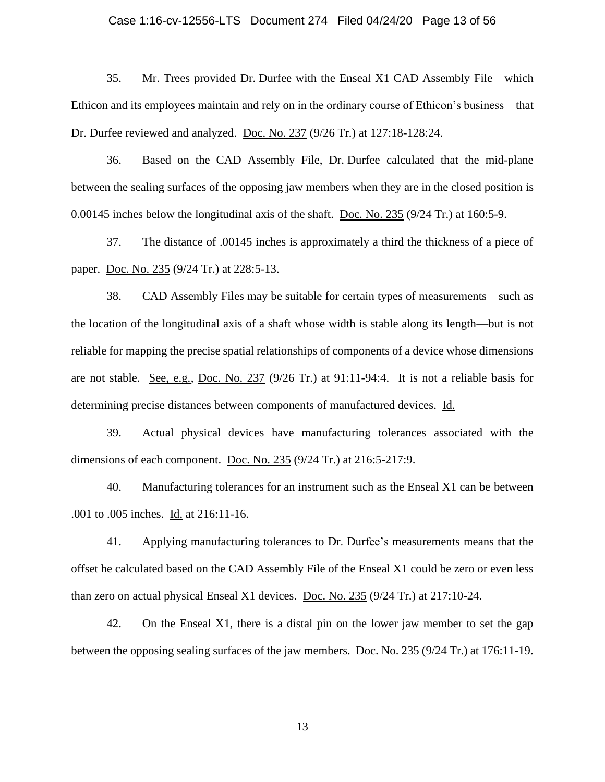#### Case 1:16-cv-12556-LTS Document 274 Filed 04/24/20 Page 13 of 56

35. Mr. Trees provided Dr. Durfee with the Enseal X1 CAD Assembly File—which Ethicon and its employees maintain and rely on in the ordinary course of Ethicon's business—that Dr. Durfee reviewed and analyzed. [Doc. No. 237](https://ecf.mad.uscourts.gov/doc1/09519594168) (9/26 Tr.) at 127:18-128:24.

36. Based on the CAD Assembly File, Dr. Durfee calculated that the mid-plane between the sealing surfaces of the opposing jaw members when they are in the closed position is 0.00145 inches below the longitudinal axis of the shaft. [Doc. No. 235](https://ecf.mad.uscourts.gov/doc1/09519594160) (9/24 Tr.) at 160:5-9.

37. The distance of .00145 inches is approximately a third the thickness of a piece of paper. [Doc. No. 235](https://ecf.mad.uscourts.gov/doc1/09519594160) (9/24 Tr.) at 228:5-13.

38. CAD Assembly Files may be suitable for certain types of measurements—such as the location of the longitudinal axis of a shaft whose width is stable along its length—but is not reliable for mapping the precise spatial relationships of components of a device whose dimensions are not stable. See, e.g., [Doc. No. 237](https://ecf.mad.uscourts.gov/doc1/09519594168) (9/26 Tr.) at 91:11-94:4. It is not a reliable basis for determining precise distances between components of manufactured devices. Id.

39. Actual physical devices have manufacturing tolerances associated with the dimensions of each component. [Doc. No. 235](https://ecf.mad.uscourts.gov/doc1/09519594160) (9/24 Tr.) at 216:5-217:9.

40. Manufacturing tolerances for an instrument such as the Enseal X1 can be between .001 to .005 inches. Id. at 216:11-16.

41. Applying manufacturing tolerances to Dr. Durfee's measurements means that the offset he calculated based on the CAD Assembly File of the Enseal X1 could be zero or even less than zero on actual physical Enseal X1 devices. [Doc. No. 235](https://ecf.mad.uscourts.gov/doc1/09519594160) (9/24 Tr.) at 217:10-24.

42. On the Enseal X1, there is a distal pin on the lower jaw member to set the gap between the opposing sealing surfaces of the jaw members. [Doc. No. 235](https://ecf.mad.uscourts.gov/doc1/09519594160) (9/24 Tr.) at 176:11-19.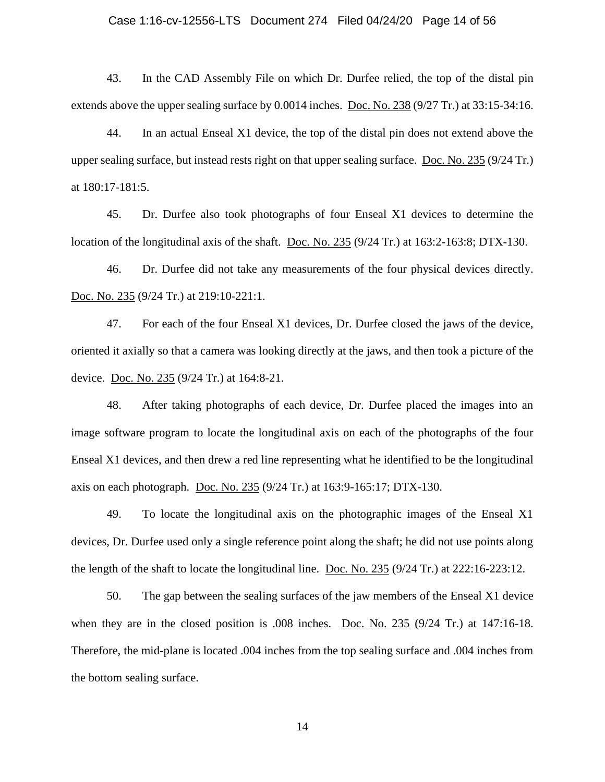#### Case 1:16-cv-12556-LTS Document 274 Filed 04/24/20 Page 14 of 56

43. In the CAD Assembly File on which Dr. Durfee relied, the top of the distal pin extends above the upper sealing surface by 0.0014 inches. [Doc. No. 238](https://ecf.mad.uscourts.gov/doc1/09519594181) (9/27 Tr.) at 33:15-34:16.

44. In an actual Enseal X1 device, the top of the distal pin does not extend above the upper sealing surface, but instead rests right on that upper sealing surface. [Doc. No. 235](https://ecf.mad.uscourts.gov/doc1/09519594160) (9/24 Tr.) at 180:17-181:5.

45. Dr. Durfee also took photographs of four Enseal X1 devices to determine the location of the longitudinal axis of the shaft. [Doc. No. 235](https://ecf.mad.uscourts.gov/doc1/09519594160) (9/24 Tr.) at 163:2-163:8; DTX-130.

46. Dr. Durfee did not take any measurements of the four physical devices directly. Doc. [No. 235](https://ecf.mad.uscourts.gov/doc1/09519594160) (9/24 Tr.) at 219:10-221:1.

47. For each of the four Enseal X1 devices, Dr. Durfee closed the jaws of the device, oriented it axially so that a camera was looking directly at the jaws, and then took a picture of the device. Doc. [No. 235](https://ecf.mad.uscourts.gov/doc1/09519594160) (9/24 Tr.) at 164:8-21.

48. After taking photographs of each device, Dr. Durfee placed the images into an image software program to locate the longitudinal axis on each of the photographs of the four Enseal X1 devices, and then drew a red line representing what he identified to be the longitudinal axis on each photograph. [Doc. No. 235](https://ecf.mad.uscourts.gov/doc1/09519594160) (9/24 Tr.) at 163:9-165:17; DTX-130.

49. To locate the longitudinal axis on the photographic images of the Enseal X1 devices, Dr. Durfee used only a single reference point along the shaft; he did not use points along the length of the shaft to locate the longitudinal line. Doc. [No. 235](https://ecf.mad.uscourts.gov/doc1/09519594160) (9/24 Tr.) at 222:16-223:12.

50. The gap between the sealing surfaces of the jaw members of the Enseal X1 device when they are in the closed position is .008 inches. [Doc. No. 235](https://ecf.mad.uscourts.gov/doc1/09519594160) (9/24 Tr.) at 147:16-18. Therefore, the mid-plane is located .004 inches from the top sealing surface and .004 inches from the bottom sealing surface.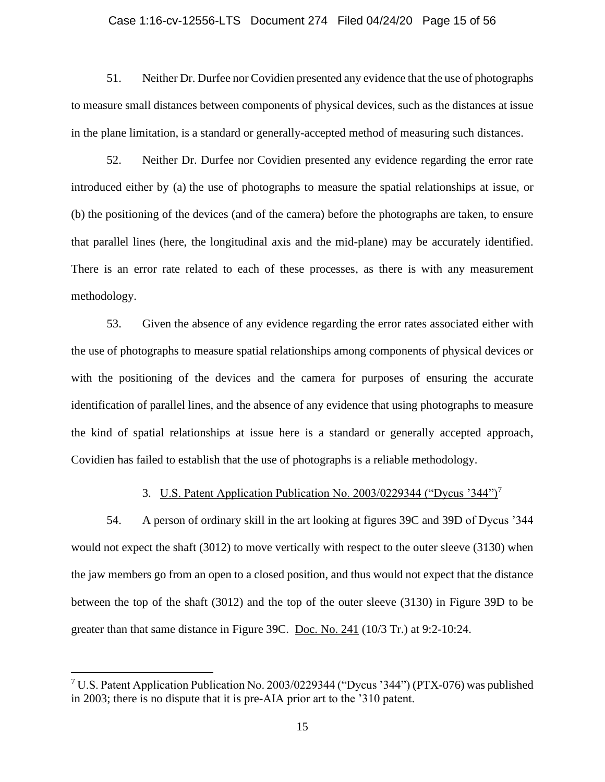# Case 1:16-cv-12556-LTS Document 274 Filed 04/24/20 Page 15 of 56

51. Neither Dr. Durfee nor Covidien presented any evidence that the use of photographs to measure small distances between components of physical devices, such as the distances at issue in the plane limitation, is a standard or generally-accepted method of measuring such distances.

52. Neither Dr. Durfee nor Covidien presented any evidence regarding the error rate introduced either by (a) the use of photographs to measure the spatial relationships at issue, or (b) the positioning of the devices (and of the camera) before the photographs are taken, to ensure that parallel lines (here, the longitudinal axis and the mid-plane) may be accurately identified. There is an error rate related to each of these processes, as there is with any measurement methodology.

53. Given the absence of any evidence regarding the error rates associated either with the use of photographs to measure spatial relationships among components of physical devices or with the positioning of the devices and the camera for purposes of ensuring the accurate identification of parallel lines, and the absence of any evidence that using photographs to measure the kind of spatial relationships at issue here is a standard or generally accepted approach, Covidien has failed to establish that the use of photographs is a reliable methodology.

#### 3. U.S. Patent Application Publication No. 2003/0229344 ("Dycus '344")<sup>7</sup>

54. A person of ordinary skill in the art looking at figures 39C and 39D of Dycus '344 would not expect the shaft (3012) to move vertically with respect to the outer sleeve (3130) when the jaw members go from an open to a closed position, and thus would not expect that the distance between the top of the shaft (3012) and the top of the outer sleeve (3130) in Figure 39D to be greater than that same distance in Figure 39C. [Doc. No. 241](https://ecf.mad.uscourts.gov/doc1/09519594197) (10/3 Tr.) at 9:2-10:24.

<sup>7</sup> U.S. Patent Application Publication No. 2003/0229344 ("Dycus '344") (PTX-076) was published in 2003; there is no dispute that it is pre-AIA prior art to the '310 patent.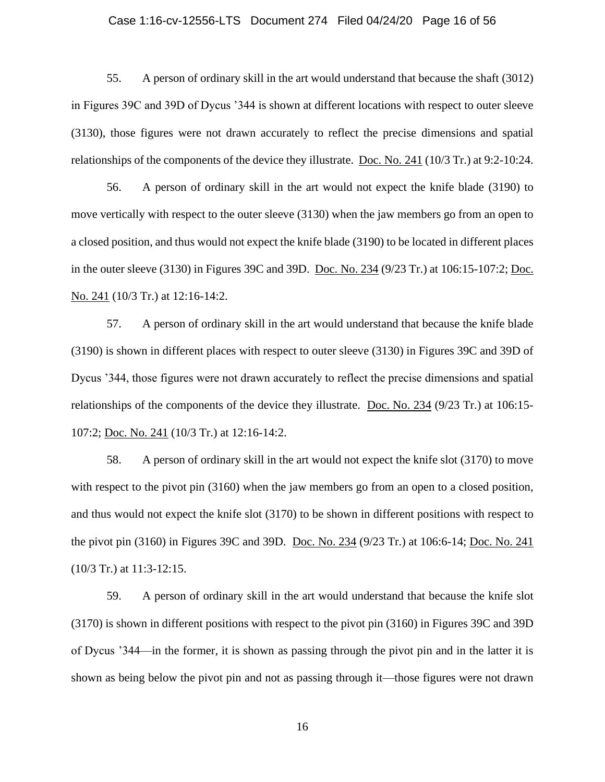#### Case 1:16-cv-12556-LTS Document 274 Filed 04/24/20 Page 16 of 56

55. A person of ordinary skill in the art would understand that because the shaft (3012) in Figures 39C and 39D of Dycus '344 is shown at different locations with respect to outer sleeve (3130), those figures were not drawn accurately to reflect the precise dimensions and spatial relationships of the components of the device they illustrate. [Doc.](https://ecf.mad.uscourts.gov/doc1/09519594197) No. 241 (10/3 Tr.) at 9:2-10:24.

56. A person of ordinary skill in the art would not expect the knife blade (3190) to move vertically with respect to the outer sleeve (3130) when the jaw members go from an open to a closed position, and thus would not expect the knife blade (3190) to be located in different places in the outer sleeve (3130) in Figures 39C and 39D. Doc. [No. 234](https://ecf.mad.uscourts.gov/doc1/09519594155) (9/23 Tr.) at 106:15-107:2; [Doc.](https://ecf.mad.uscourts.gov/doc1/09519594197)  [No. 241](https://ecf.mad.uscourts.gov/doc1/09519594197) (10/3 Tr.) at 12:16-14:2.

57. A person of ordinary skill in the art would understand that because the knife blade (3190) is shown in different places with respect to outer sleeve (3130) in Figures 39C and 39D of Dycus '344, those figures were not drawn accurately to reflect the precise dimensions and spatial relationships of the components of the device they illustrate. Doc. [No. 234](https://ecf.mad.uscourts.gov/doc1/09519594155) (9/23 Tr.) at 106:15- 107:2; [Doc. No. 241](https://ecf.mad.uscourts.gov/doc1/09519594197) (10/3 Tr.) at 12:16-14:2.

58. A person of ordinary skill in the art would not expect the knife slot (3170) to move with respect to the pivot pin (3160) when the jaw members go from an open to a closed position, and thus would not expect the knife slot (3170) to be shown in different positions with respect to the pivot pin (3160) in Figures 39C and 39D. [Doc. No. 234](https://ecf.mad.uscourts.gov/doc1/09519594155) (9/23 Tr.) at 106:6-14; [Doc. No.](https://ecf.mad.uscourts.gov/doc1/09519594197) 241 (10/3 Tr.) at 11:3-12:15.

59. A person of ordinary skill in the art would understand that because the knife slot (3170) is shown in different positions with respect to the pivot pin (3160) in Figures 39C and 39D of Dycus '344—in the former, it is shown as passing through the pivot pin and in the latter it is shown as being below the pivot pin and not as passing through it—those figures were not drawn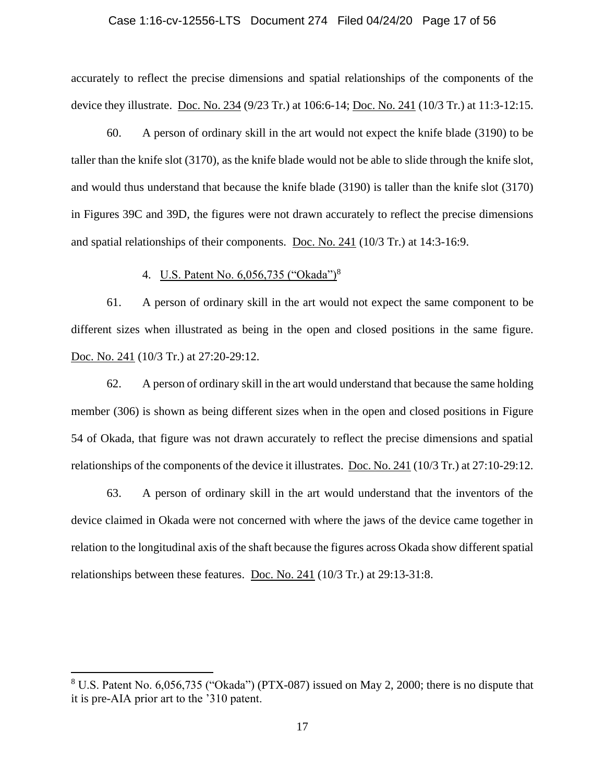# Case 1:16-cv-12556-LTS Document 274 Filed 04/24/20 Page 17 of 56

accurately to reflect the precise dimensions and spatial relationships of the components of the device they illustrate. [Doc. No. 234](https://ecf.mad.uscourts.gov/doc1/09519594155) (9/23 Tr.) at 106:6-14; [Doc. No. 241](https://ecf.mad.uscourts.gov/doc1/09519594197) (10/3 Tr.) at 11:3-12:15.

60. A person of ordinary skill in the art would not expect the knife blade (3190) to be taller than the knife slot (3170), as the knife blade would not be able to slide through the knife slot, and would thus understand that because the knife blade (3190) is taller than the knife slot (3170) in Figures 39C and 39D, the figures were not drawn accurately to reflect the precise dimensions and spatial relationships of their components. [Doc. No. 241](https://ecf.mad.uscourts.gov/doc1/09519594197) (10/3 Tr.) at 14:3-16:9.

# 4. U.S. Patent No. 6,056,735 ("Okada")<sup>8</sup>

61. A person of ordinary skill in the art would not expect the same component to be different sizes when illustrated as being in the open and closed positions in the same figure. Doc. [No. 241](https://ecf.mad.uscourts.gov/doc1/09519594197) (10/3 Tr.) at 27:20-29:12.

62. A person of ordinary skill in the art would understand that because the same holding member (306) is shown as being different sizes when in the open and closed positions in Figure 54 of Okada, that figure was not drawn accurately to reflect the precise dimensions and spatial relationships of the components of the device it illustrates. [Doc. No. 241](https://ecf.mad.uscourts.gov/doc1/09519594197) (10/3 Tr.) at 27:10-29:12.

63. A person of ordinary skill in the art would understand that the inventors of the device claimed in Okada were not concerned with where the jaws of the device came together in relation to the longitudinal axis of the shaft because the figures across Okada show different spatial relationships between these features. [Doc. No. 241](https://ecf.mad.uscourts.gov/doc1/09519594197) (10/3 Tr.) at 29:13-31:8.

<sup>8</sup> U.S. Patent No. 6,056,735 ("Okada") (PTX-087) issued on May 2, 2000; there is no dispute that it is pre-AIA prior art to the '310 patent.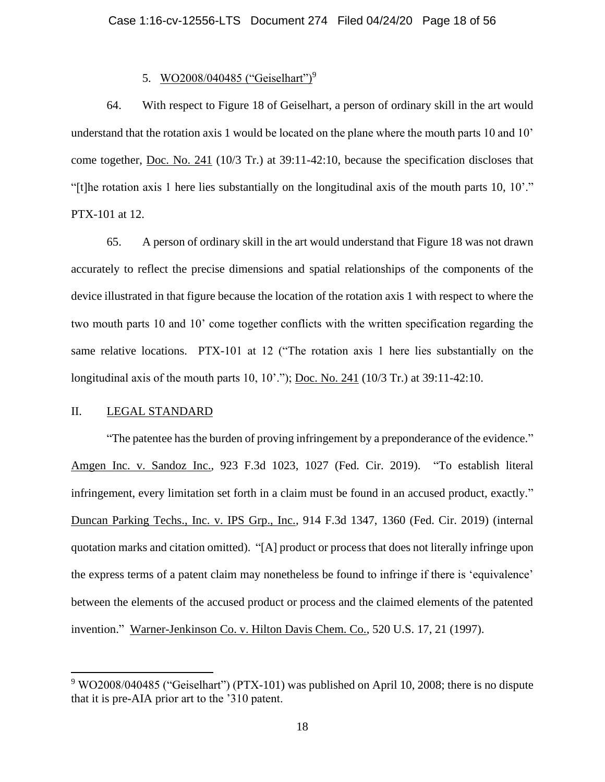# 5. WO2008/040485 ("Geiselhart")<sup>9</sup>

64. With respect to Figure 18 of Geiselhart, a person of ordinary skill in the art would understand that the rotation axis 1 would be located on the plane where the mouth parts 10 and 10' come together, [Doc. No. 241](https://ecf.mad.uscourts.gov/doc1/09519594197) (10/3 Tr.) at 39:11-42:10, because the specification discloses that "[t]he rotation axis 1 here lies substantially on the longitudinal axis of the mouth parts 10, 10'." PTX-101 at 12.

65. A person of ordinary skill in the art would understand that Figure 18 was not drawn accurately to reflect the precise dimensions and spatial relationships of the components of the device illustrated in that figure because the location of the rotation axis 1 with respect to where the two mouth parts 10 and 10' come together conflicts with the written specification regarding the same relative locations. PTX-101 at 12 ("The rotation axis 1 here lies substantially on the longitudinal axis of the mouth parts 10, 10'."); <u>Doc. [No. 241](https://ecf.mad.uscourts.gov/doc1/09519594197)</u> (10/3 Tr.) at 39:11-42:10.

# II. LEGAL STANDARD

"The patentee has the burden of proving infringement by a preponderance of the evidence." Amgen Inc. v. Sandoz Inc., 923 F.3d 1023, 1027 (Fed. Cir. 2019). "To establish literal infringement, every limitation set forth in a claim must be found in an accused product, exactly." Duncan Parking Techs., Inc. v. IPS Grp., Inc., 914 F.3d 1347, 1360 (Fed. Cir. 2019) (internal quotation marks and citation omitted). "[A] product or process that does not literally infringe upon the express terms of a patent claim may nonetheless be found to infringe if there is 'equivalence' between the elements of the accused product or process and the claimed elements of the patented invention." Warner-Jenkinson Co. v. Hilton Davis Chem. Co., 520 U.S. 17, 21 (1997).

<sup>&</sup>lt;sup>9</sup> WO2008/040485 ("Geiselhart") (PTX-101) was published on April 10, 2008; there is no dispute that it is pre-AIA prior art to the '310 patent.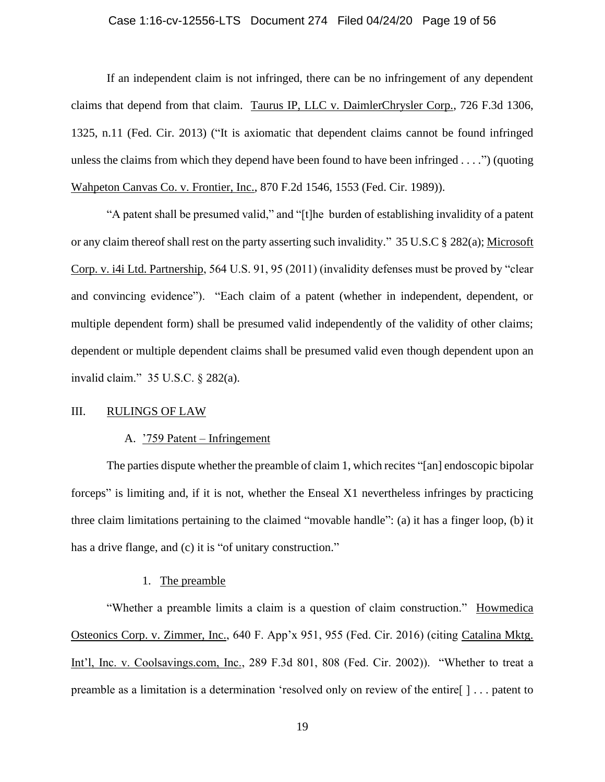# Case 1:16-cv-12556-LTS Document 274 Filed 04/24/20 Page 19 of 56

If an independent claim is not infringed, there can be no infringement of any dependent claims that depend from that claim. Taurus IP, LLC v. DaimlerChrysler Corp., 726 F.3d 1306, 1325, n.11 (Fed. Cir. 2013) ("It is axiomatic that dependent claims cannot be found infringed unless the claims from which they depend have been found to have been infringed  $\dots$ .") (quoting Wahpeton Canvas Co. v. Frontier, Inc., 870 F.2d 1546, 1553 (Fed. Cir. 1989)).

"A patent shall be presumed valid," and "[t]he burden of establishing invalidity of a patent or any claim thereof shall rest on the party asserting such invalidity." 35 U.S.C § 282(a); Microsoft Corp. v. i4i Ltd. Partnership, 564 U.S. 91, 95 (2011) (invalidity defenses must be proved by "clear and convincing evidence"). "Each claim of a patent (whether in independent, dependent, or multiple dependent form) shall be presumed valid independently of the validity of other claims; dependent or multiple dependent claims shall be presumed valid even though dependent upon an invalid claim." 35 U.S.C. § 282(a).

# III. RULINGS OF LAW

#### A. '759 Patent – Infringement

The parties dispute whether the preamble of claim 1, which recites "[an] endoscopic bipolar forceps" is limiting and, if it is not, whether the Enseal X1 nevertheless infringes by practicing three claim limitations pertaining to the claimed "movable handle": (a) it has a finger loop, (b) it has a drive flange, and (c) it is "of unitary construction."

# 1. The preamble

"Whether a preamble limits a claim is a question of claim construction." Howmedica Osteonics Corp. v. Zimmer, Inc., 640 F. App'x 951, 955 (Fed. Cir. 2016) (citing Catalina Mktg. Int'l, Inc. v. Coolsavings.com, Inc., 289 F.3d 801, 808 (Fed. Cir. 2002)). "Whether to treat a preamble as a limitation is a determination 'resolved only on review of the entire[ ] . . . patent to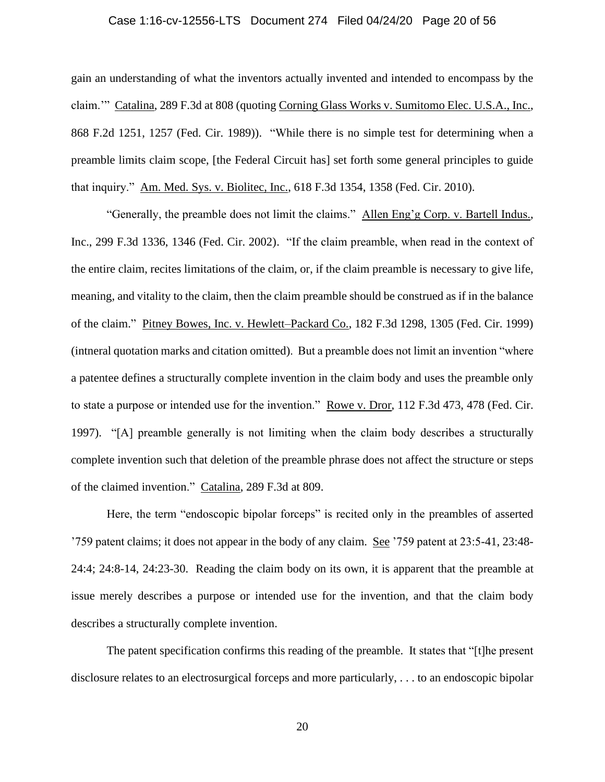# Case 1:16-cv-12556-LTS Document 274 Filed 04/24/20 Page 20 of 56

gain an understanding of what the inventors actually invented and intended to encompass by the claim.'" Catalina, 289 F.3d at 808 (quoting Corning Glass Works v. Sumitomo Elec. U.S.A., Inc., 868 F.2d 1251, 1257 (Fed. Cir. 1989)). "While there is no simple test for determining when a preamble limits claim scope, [the Federal Circuit has] set forth some general principles to guide that inquiry." Am. Med. Sys. v. Biolitec, Inc., 618 F.3d 1354, 1358 (Fed. Cir. 2010).

"Generally, the preamble does not limit the claims." Allen Eng'g Corp. v. Bartell Indus., Inc., 299 F.3d 1336, 1346 (Fed. Cir. 2002). "If the claim preamble, when read in the context of the entire claim, recites limitations of the claim, or, if the claim preamble is necessary to give life, meaning, and vitality to the claim, then the claim preamble should be construed as if in the balance of the claim." Pitney Bowes, Inc. v. Hewlett–Packard Co., 182 F.3d 1298, 1305 (Fed. Cir. 1999) (intneral quotation marks and citation omitted). But a preamble does not limit an invention "where a patentee defines a structurally complete invention in the claim body and uses the preamble only to state a purpose or intended use for the invention." Rowe v. Dror, 112 F.3d 473, 478 (Fed. Cir. 1997). "[A] preamble generally is not limiting when the claim body describes a structurally complete invention such that deletion of the preamble phrase does not affect the structure or steps of the claimed invention." Catalina, 289 F.3d at 809.

Here, the term "endoscopic bipolar forceps" is recited only in the preambles of asserted '759 patent claims; it does not appear in the body of any claim. See '759 patent at 23:5-41, 23:48- 24:4; 24:8-14, 24:23-30. Reading the claim body on its own, it is apparent that the preamble at issue merely describes a purpose or intended use for the invention, and that the claim body describes a structurally complete invention.

The patent specification confirms this reading of the preamble. It states that "[t]he present disclosure relates to an electrosurgical forceps and more particularly, . . . to an endoscopic bipolar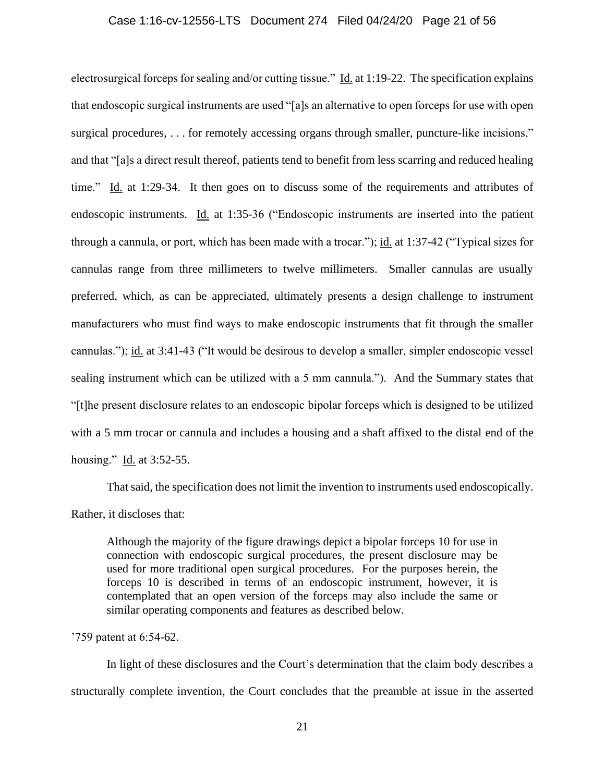### Case 1:16-cv-12556-LTS Document 274 Filed 04/24/20 Page 21 of 56

electrosurgical forceps for sealing and/or cutting tissue." Id. at 1:19-22. The specification explains that endoscopic surgical instruments are used "[a]s an alternative to open forceps for use with open surgical procedures, ... for remotely accessing organs through smaller, puncture-like incisions," and that "[a]s a direct result thereof, patients tend to benefit from less scarring and reduced healing time." Id. at 1:29-34. It then goes on to discuss some of the requirements and attributes of endoscopic instruments. Id. at 1:35-36 ("Endoscopic instruments are inserted into the patient through a cannula, or port, which has been made with a trocar."); id. at 1:37-42 ("Typical sizes for cannulas range from three millimeters to twelve millimeters. Smaller cannulas are usually preferred, which, as can be appreciated, ultimately presents a design challenge to instrument manufacturers who must find ways to make endoscopic instruments that fit through the smaller cannulas."); id. at 3:41-43 ("It would be desirous to develop a smaller, simpler endoscopic vessel sealing instrument which can be utilized with a 5 mm cannula."). And the Summary states that "[t]he present disclosure relates to an endoscopic bipolar forceps which is designed to be utilized with a 5 mm trocar or cannula and includes a housing and a shaft affixed to the distal end of the housing." Id. at 3:52-55.

That said, the specification does not limit the invention to instruments used endoscopically.

Rather, it discloses that:

Although the majority of the figure drawings depict a bipolar forceps 10 for use in connection with endoscopic surgical procedures, the present disclosure may be used for more traditional open surgical procedures. For the purposes herein, the forceps 10 is described in terms of an endoscopic instrument, however, it is contemplated that an open version of the forceps may also include the same or similar operating components and features as described below.

'759 patent at 6:54-62.

In light of these disclosures and the Court's determination that the claim body describes a structurally complete invention, the Court concludes that the preamble at issue in the asserted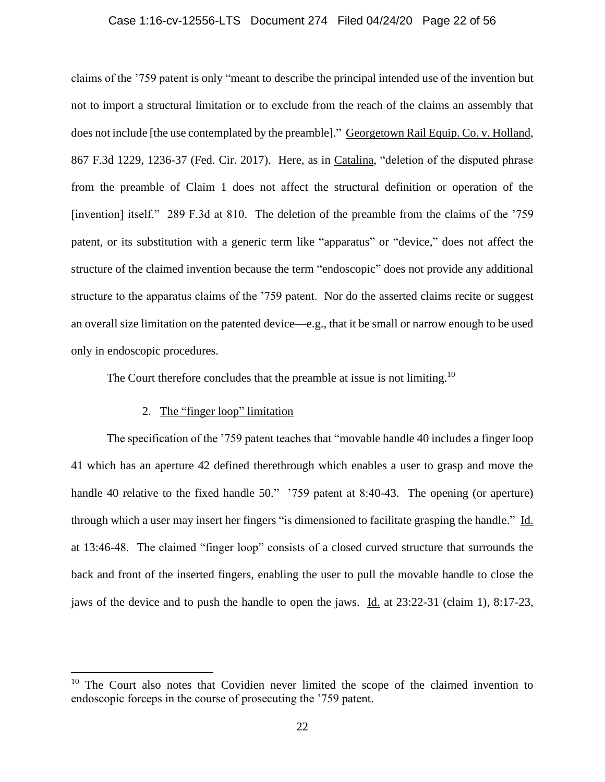# Case 1:16-cv-12556-LTS Document 274 Filed 04/24/20 Page 22 of 56

claims of the '759 patent is only "meant to describe the principal intended use of the invention but not to import a structural limitation or to exclude from the reach of the claims an assembly that does not include [the use contemplated by the preamble]." Georgetown Rail Equip. Co. v. Holland, 867 F.3d 1229, 1236-37 (Fed. Cir. 2017). Here, as in Catalina, "deletion of the disputed phrase from the preamble of Claim 1 does not affect the structural definition or operation of the [invention] itself." 289 F.3d at 810. The deletion of the preamble from the claims of the '759 patent, or its substitution with a generic term like "apparatus" or "device," does not affect the structure of the claimed invention because the term "endoscopic" does not provide any additional structure to the apparatus claims of the '759 patent. Nor do the asserted claims recite or suggest an overall size limitation on the patented device—e.g., that it be small or narrow enough to be used only in endoscopic procedures.

The Court therefore concludes that the preamble at issue is not limiting.<sup>10</sup>

# 2. The "finger loop" limitation

The specification of the '759 patent teaches that "movable handle 40 includes a finger loop 41 which has an aperture 42 defined therethrough which enables a user to grasp and move the handle 40 relative to the fixed handle 50." '759 patent at 8:40-43. The opening (or aperture) through which a user may insert her fingers "is dimensioned to facilitate grasping the handle." Id. at 13:46-48. The claimed "finger loop" consists of a closed curved structure that surrounds the back and front of the inserted fingers, enabling the user to pull the movable handle to close the jaws of the device and to push the handle to open the jaws. Id. at 23:22-31 (claim 1), 8:17-23,

 $10$  The Court also notes that Covidien never limited the scope of the claimed invention to endoscopic forceps in the course of prosecuting the '759 patent.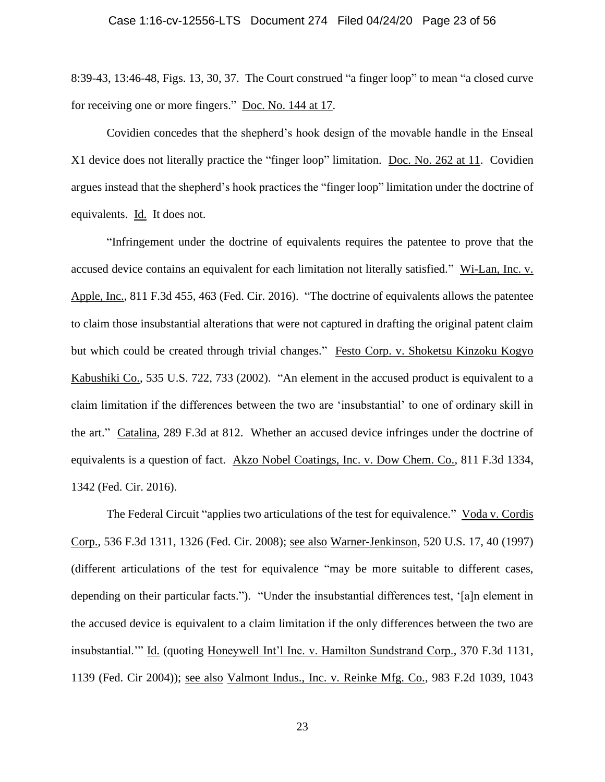8:39-43, 13:46-48, Figs. 13, 30, 37. The Court construed "a finger loop" to mean "a closed curve for receiving one or more fingers." Doc. [No. 144 at 17.](https://ecf.mad.uscourts.gov/doc1/09518759534?page=17)

Covidien concedes that the shepherd's hook design of the movable handle in the Enseal X1 device does not literally practice the "finger loop" limitation. [Doc. No. 262 at 11.](https://ecf.mad.uscourts.gov/doc1/09519798006?page=11) Covidien argues instead that the shepherd's hook practices the "finger loop" limitation under the doctrine of equivalents. Id. It does not.

"Infringement under the doctrine of equivalents requires the patentee to prove that the accused device contains an equivalent for each limitation not literally satisfied." Wi-Lan, Inc. v. Apple, Inc., 811 F.3d 455, 463 (Fed. Cir. 2016). "The doctrine of equivalents allows the patentee to claim those insubstantial alterations that were not captured in drafting the original patent claim but which could be created through trivial changes." Festo Corp. v. Shoketsu Kinzoku Kogyo Kabushiki Co., 535 U.S. 722, 733 (2002). "An element in the accused product is equivalent to a claim limitation if the differences between the two are 'insubstantial' to one of ordinary skill in the art." Catalina, 289 F.3d at 812. Whether an accused device infringes under the doctrine of equivalents is a question of fact. Akzo Nobel Coatings, Inc. v. Dow Chem. Co., 811 F.3d 1334, 1342 (Fed. Cir. 2016).

The Federal Circuit "applies two articulations of the test for equivalence." Voda v. Cordis Corp., 536 F.3d 1311, 1326 (Fed. Cir. 2008); see also Warner-Jenkinson, 520 U.S. 17, 40 (1997) (different articulations of the test for equivalence "may be more suitable to different cases, depending on their particular facts."). "Under the insubstantial differences test, '[a]n element in the accused device is equivalent to a claim limitation if the only differences between the two are insubstantial.'" Id. (quoting Honeywell Int'l Inc. v. Hamilton Sundstrand Corp., 370 F.3d 1131, 1139 (Fed. Cir 2004)); see also Valmont Indus., Inc. v. Reinke Mfg. Co., 983 F.2d 1039, 1043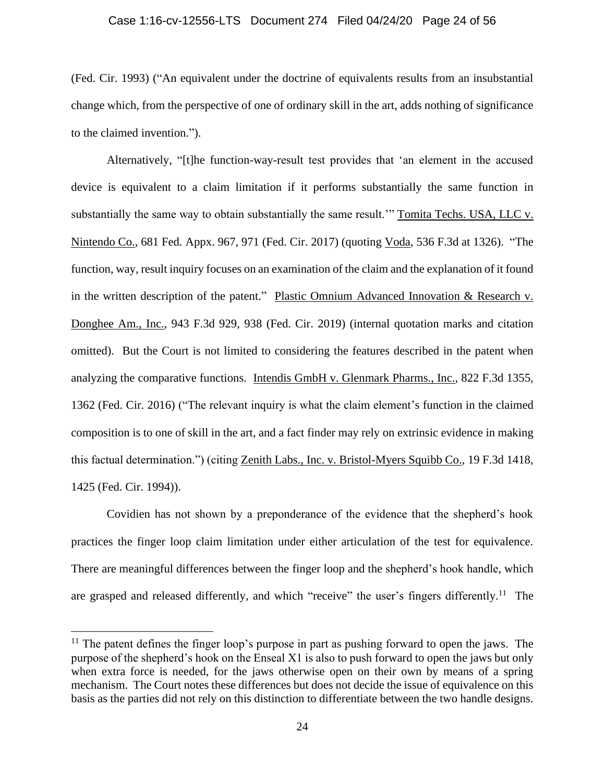#### Case 1:16-cv-12556-LTS Document 274 Filed 04/24/20 Page 24 of 56

(Fed. Cir. 1993) ("An equivalent under the doctrine of equivalents results from an insubstantial change which, from the perspective of one of ordinary skill in the art, adds nothing of significance to the claimed invention.").

Alternatively, "[t]he function-way-result test provides that 'an element in the accused device is equivalent to a claim limitation if it performs substantially the same function in substantially the same way to obtain substantially the same result." Tomita Techs. USA, LLC v. Nintendo Co., 681 Fed. Appx. 967, 971 (Fed. Cir. 2017) (quoting Voda, 536 F.3d at 1326). "The function, way, result inquiry focuses on an examination of the claim and the explanation of it found in the written description of the patent." Plastic Omnium Advanced Innovation & Research v. Donghee Am., Inc., 943 F.3d 929, 938 (Fed. Cir. 2019) (internal quotation marks and citation omitted). But the Court is not limited to considering the features described in the patent when analyzing the comparative functions. Intendis GmbH v. Glenmark Pharms., Inc., 822 F.3d 1355, 1362 (Fed. Cir. 2016) ("The relevant inquiry is what the claim element's function in the claimed composition is to one of skill in the art, and a fact finder may rely on extrinsic evidence in making this factual determination.") (citing Zenith Labs., Inc. v. Bristol-Myers Squibb Co., 19 F.3d 1418, 1425 (Fed. Cir. 1994)).

Covidien has not shown by a preponderance of the evidence that the shepherd's hook practices the finger loop claim limitation under either articulation of the test for equivalence. There are meaningful differences between the finger loop and the shepherd's hook handle, which are grasped and released differently, and which "receive" the user's fingers differently.<sup>11</sup> The

 $11$  The patent defines the finger loop's purpose in part as pushing forward to open the jaws. The purpose of the shepherd's hook on the Enseal X1 is also to push forward to open the jaws but only when extra force is needed, for the jaws otherwise open on their own by means of a spring mechanism. The Court notes these differences but does not decide the issue of equivalence on this basis as the parties did not rely on this distinction to differentiate between the two handle designs.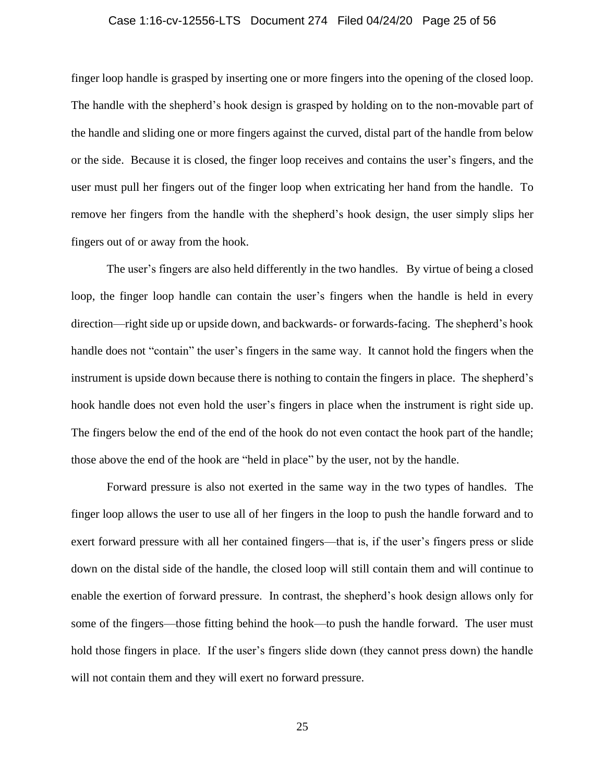#### Case 1:16-cv-12556-LTS Document 274 Filed 04/24/20 Page 25 of 56

finger loop handle is grasped by inserting one or more fingers into the opening of the closed loop. The handle with the shepherd's hook design is grasped by holding on to the non-movable part of the handle and sliding one or more fingers against the curved, distal part of the handle from below or the side. Because it is closed, the finger loop receives and contains the user's fingers, and the user must pull her fingers out of the finger loop when extricating her hand from the handle. To remove her fingers from the handle with the shepherd's hook design, the user simply slips her fingers out of or away from the hook.

The user's fingers are also held differently in the two handles. By virtue of being a closed loop, the finger loop handle can contain the user's fingers when the handle is held in every direction—right side up or upside down, and backwards- or forwards-facing. The shepherd's hook handle does not "contain" the user's fingers in the same way. It cannot hold the fingers when the instrument is upside down because there is nothing to contain the fingers in place. The shepherd's hook handle does not even hold the user's fingers in place when the instrument is right side up. The fingers below the end of the end of the hook do not even contact the hook part of the handle; those above the end of the hook are "held in place" by the user, not by the handle.

Forward pressure is also not exerted in the same way in the two types of handles. The finger loop allows the user to use all of her fingers in the loop to push the handle forward and to exert forward pressure with all her contained fingers—that is, if the user's fingers press or slide down on the distal side of the handle, the closed loop will still contain them and will continue to enable the exertion of forward pressure. In contrast, the shepherd's hook design allows only for some of the fingers—those fitting behind the hook—to push the handle forward. The user must hold those fingers in place. If the user's fingers slide down (they cannot press down) the handle will not contain them and they will exert no forward pressure.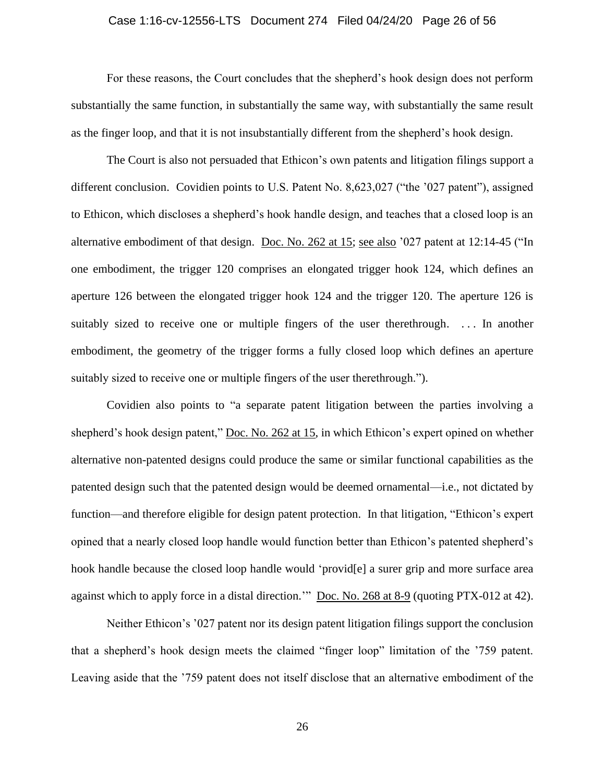# Case 1:16-cv-12556-LTS Document 274 Filed 04/24/20 Page 26 of 56

For these reasons, the Court concludes that the shepherd's hook design does not perform substantially the same function, in substantially the same way, with substantially the same result as the finger loop, and that it is not insubstantially different from the shepherd's hook design.

The Court is also not persuaded that Ethicon's own patents and litigation filings support a different conclusion. Covidien points to U.S. Patent No. 8,623,027 ("the '027 patent"), assigned to Ethicon, which discloses a shepherd's hook handle design, and teaches that a closed loop is an alternative embodiment of that design. [Doc. No. 262 at 15;](https://ecf.mad.uscourts.gov/doc1/09519798006?page=15) see also '027 patent at 12:14-45 ("In one embodiment, the trigger 120 comprises an elongated trigger hook 124, which defines an aperture 126 between the elongated trigger hook 124 and the trigger 120. The aperture 126 is suitably sized to receive one or multiple fingers of the user therethrough. ... In another embodiment, the geometry of the trigger forms a fully closed loop which defines an aperture suitably sized to receive one or multiple fingers of the user therethrough.").

Covidien also points to "a separate patent litigation between the parties involving a shepherd's hook design patent," [Doc. No. 262 at 15,](https://ecf.mad.uscourts.gov/doc1/09519798006?page=15) in which Ethicon's expert opined on whether alternative non-patented designs could produce the same or similar functional capabilities as the patented design such that the patented design would be deemed ornamental—i.e., not dictated by function—and therefore eligible for design patent protection. In that litigation, "Ethicon's expert opined that a nearly closed loop handle would function better than Ethicon's patented shepherd's hook handle because the closed loop handle would 'provider a surer grip and more surface area against which to apply force in a distal direction." [Doc. No. 268 at 8-9](https://ecf.mad.uscourts.gov/doc1/09519841891?page=8) (quoting PTX-012 at 42).

Neither Ethicon's '027 patent nor its design patent litigation filings support the conclusion that a shepherd's hook design meets the claimed "finger loop" limitation of the '759 patent. Leaving aside that the '759 patent does not itself disclose that an alternative embodiment of the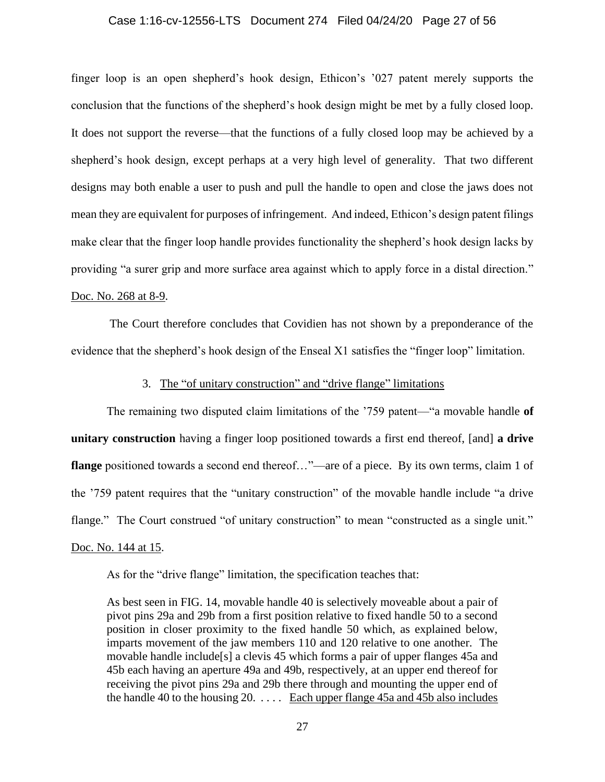#### Case 1:16-cv-12556-LTS Document 274 Filed 04/24/20 Page 27 of 56

finger loop is an open shepherd's hook design, Ethicon's '027 patent merely supports the conclusion that the functions of the shepherd's hook design might be met by a fully closed loop. It does not support the reverse—that the functions of a fully closed loop may be achieved by a shepherd's hook design, except perhaps at a very high level of generality. That two different designs may both enable a user to push and pull the handle to open and close the jaws does not mean they are equivalent for purposes of infringement. And indeed, Ethicon's design patent filings make clear that the finger loop handle provides functionality the shepherd's hook design lacks by providing "a surer grip and more surface area against which to apply force in a distal direction." [Doc. No. 268 at 8-9.](https://ecf.mad.uscourts.gov/doc1/09519841891?page=8)

The Court therefore concludes that Covidien has not shown by a preponderance of the evidence that the shepherd's hook design of the Enseal X1 satisfies the "finger loop" limitation.

# 3. The "of unitary construction" and "drive flange" limitations

The remaining two disputed claim limitations of the '759 patent—"a movable handle **of unitary construction** having a finger loop positioned towards a first end thereof, [and] **a drive flange** positioned towards a second end thereof..."—are of a piece. By its own terms, claim 1 of the '759 patent requires that the "unitary construction" of the movable handle include "a drive flange." The Court construed "of unitary construction" to mean "constructed as a single unit." [Doc. No. 144 at 15.](https://ecf.mad.uscourts.gov/doc1/09518759534?page=15)

As for the "drive flange" limitation, the specification teaches that:

As best seen in FIG. 14, movable handle 40 is selectively moveable about a pair of pivot pins 29a and 29b from a first position relative to fixed handle 50 to a second position in closer proximity to the fixed handle 50 which, as explained below, imparts movement of the jaw members 110 and 120 relative to one another. The movable handle include[s] a clevis 45 which forms a pair of upper flanges 45a and 45b each having an aperture 49a and 49b, respectively, at an upper end thereof for receiving the pivot pins 29a and 29b there through and mounting the upper end of the handle 40 to the housing  $20. \ldots$ . Each upper flange 45a and 45b also includes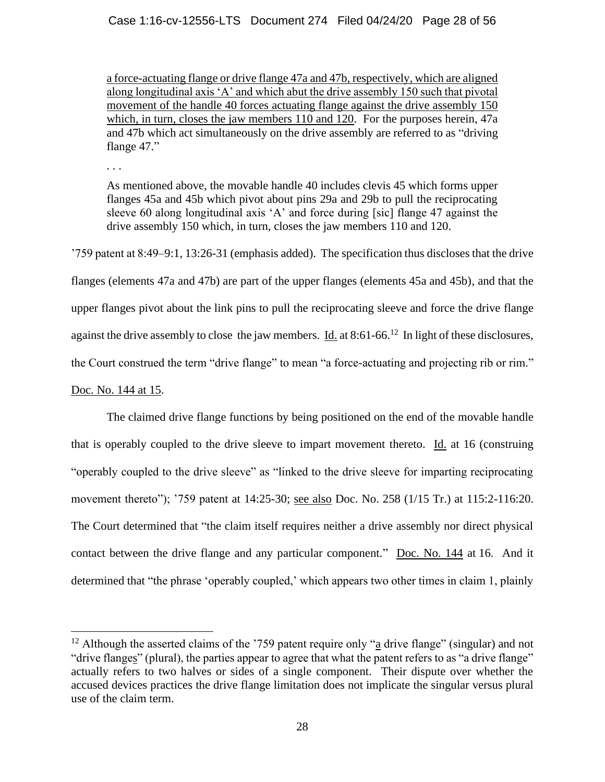a force-actuating flange or drive flange 47a and 47b, respectively, which are aligned along longitudinal axis 'A' and which abut the drive assembly 150 such that pivotal movement of the handle 40 forces actuating flange against the drive assembly 150 which, in turn, closes the jaw members 110 and 120. For the purposes herein, 47a and 47b which act simultaneously on the drive assembly are referred to as "driving flange 47."

. . .

As mentioned above, the movable handle 40 includes clevis 45 which forms upper flanges 45a and 45b which pivot about pins 29a and 29b to pull the reciprocating sleeve 60 along longitudinal axis 'A' and force during [sic] flange 47 against the drive assembly 150 which, in turn, closes the jaw members 110 and 120.

'759 patent at 8:49–9:1, 13:26-31 (emphasis added). The specification thus discloses that the drive flanges (elements 47a and 47b) are part of the upper flanges (elements 45a and 45b), and that the upper flanges pivot about the link pins to pull the reciprocating sleeve and force the drive flange against the drive assembly to close the jaw members.  $\underline{Id}$  at 8:61-66.<sup>12</sup> In light of these disclosures, the Court construed the term "drive flange" to mean "a force-actuating and projecting rib or rim." [Doc. No. 144 at 15.](https://ecf.mad.uscourts.gov/doc1/09518759534?page=15)

The claimed drive flange functions by being positioned on the end of the movable handle that is operably coupled to the drive sleeve to impart movement thereto. Id. at 16 (construing "operably coupled to the drive sleeve" as "linked to the drive sleeve for imparting reciprocating movement thereto"); '759 patent at 14:25-30; <u>see also</u> Doc. No. 258 (1/15 Tr.) at 115:2-116:20. The Court determined that "the claim itself requires neither a drive assembly nor direct physical contact between the drive flange and any particular component." [Doc. No. 144](https://ecf.mad.uscourts.gov/doc1/09518759534) at 16. And it determined that "the phrase 'operably coupled,' which appears two other times in claim 1, plainly

<sup>&</sup>lt;sup>12</sup> Although the asserted claims of the '759 patent require only "a drive flange" (singular) and not "drive flanges" (plural), the parties appear to agree that what the patent refers to as "a drive flange" actually refers to two halves or sides of a single component. Their dispute over whether the accused devices practices the drive flange limitation does not implicate the singular versus plural use of the claim term.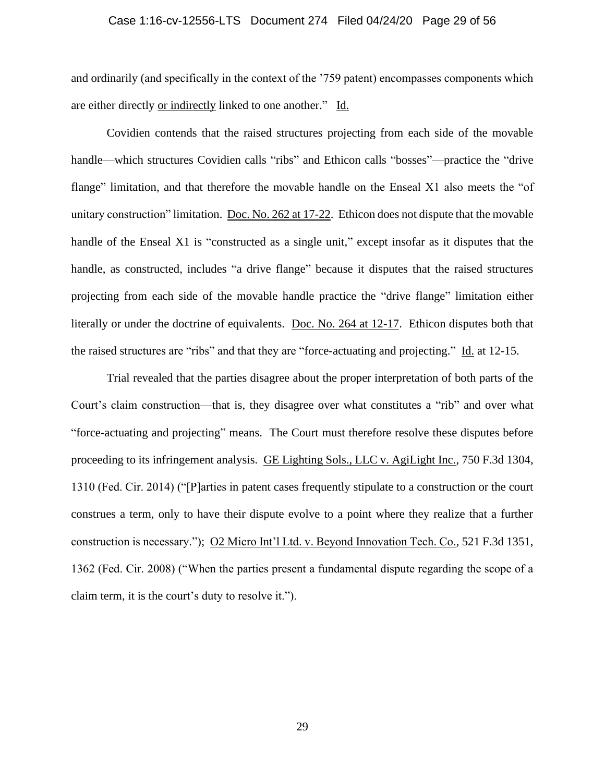# Case 1:16-cv-12556-LTS Document 274 Filed 04/24/20 Page 29 of 56

and ordinarily (and specifically in the context of the '759 patent) encompasses components which are either directly or indirectly linked to one another." Id.

Covidien contends that the raised structures projecting from each side of the movable handle—which structures Covidien calls "ribs" and Ethicon calls "bosses"—practice the "drive flange" limitation, and that therefore the movable handle on the Enseal X1 also meets the "of unitary construction" limitation. [Doc. No. 262 at 17-22.](https://ecf.mad.uscourts.gov/doc1/09519798006?page=17) Ethicon does not dispute that the movable handle of the Enseal X1 is "constructed as a single unit," except insofar as it disputes that the handle, as constructed, includes "a drive flange" because it disputes that the raised structures projecting from each side of the movable handle practice the "drive flange" limitation either literally or under the doctrine of equivalents. [Doc. No. 264 at 12-17.](https://ecf.mad.uscourts.gov/doc1/09519798050?page=12) Ethicon disputes both that the raised structures are "ribs" and that they are "force-actuating and projecting." Id. at 12-15.

Trial revealed that the parties disagree about the proper interpretation of both parts of the Court's claim construction—that is, they disagree over what constitutes a "rib" and over what "force-actuating and projecting" means. The Court must therefore resolve these disputes before proceeding to its infringement analysis. GE Lighting Sols., LLC v. AgiLight Inc., 750 F.3d 1304, 1310 (Fed. Cir. 2014) ("[P]arties in patent cases frequently stipulate to a construction or the court construes a term, only to have their dispute evolve to a point where they realize that a further construction is necessary."); O2 Micro Int'l Ltd. v. Beyond Innovation Tech. Co., 521 F.3d 1351, 1362 (Fed. Cir. 2008) ("When the parties present a fundamental dispute regarding the scope of a claim term, it is the court's duty to resolve it.").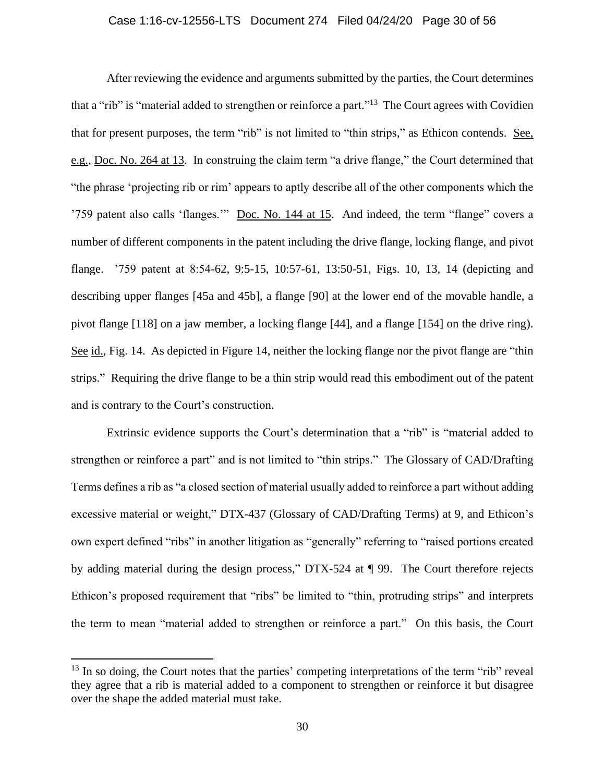# Case 1:16-cv-12556-LTS Document 274 Filed 04/24/20 Page 30 of 56

After reviewing the evidence and arguments submitted by the parties, the Court determines that a "rib" is "material added to strengthen or reinforce a part."<sup>13</sup> The Court agrees with Covidien that for present purposes, the term "rib" is not limited to "thin strips," as Ethicon contends. See, e.g., [Doc. No. 264 at 13.](https://ecf.mad.uscourts.gov/doc1/09519798050?page=13) In construing the claim term "a drive flange," the Court determined that "the phrase 'projecting rib or rim' appears to aptly describe all of the other components which the '759 patent also calls 'flanges.'" [Doc. No. 144 at 15.](https://ecf.mad.uscourts.gov/doc1/09518759534?page=15) And indeed, the term "flange" covers a number of different components in the patent including the drive flange, locking flange, and pivot flange. '759 patent at 8:54-62, 9:5-15, 10:57-61, 13:50-51, Figs. 10, 13, 14 (depicting and describing upper flanges [45a and 45b], a flange [90] at the lower end of the movable handle, a pivot flange [118] on a jaw member, a locking flange [44], and a flange [154] on the drive ring). See id., Fig. 14. As depicted in Figure 14, neither the locking flange nor the pivot flange are "thin strips." Requiring the drive flange to be a thin strip would read this embodiment out of the patent and is contrary to the Court's construction.

Extrinsic evidence supports the Court's determination that a "rib" is "material added to strengthen or reinforce a part" and is not limited to "thin strips." The Glossary of CAD/Drafting Terms defines a rib as "a closed section of material usually added to reinforce a part without adding excessive material or weight," DTX-437 (Glossary of CAD/Drafting Terms) at 9, and Ethicon's own expert defined "ribs" in another litigation as "generally" referring to "raised portions created by adding material during the design process," DTX-524 at ¶ 99. The Court therefore rejects Ethicon's proposed requirement that "ribs" be limited to "thin, protruding strips" and interprets the term to mean "material added to strengthen or reinforce a part." On this basis, the Court

 $13$  In so doing, the Court notes that the parties' competing interpretations of the term "rib" reveal they agree that a rib is material added to a component to strengthen or reinforce it but disagree over the shape the added material must take.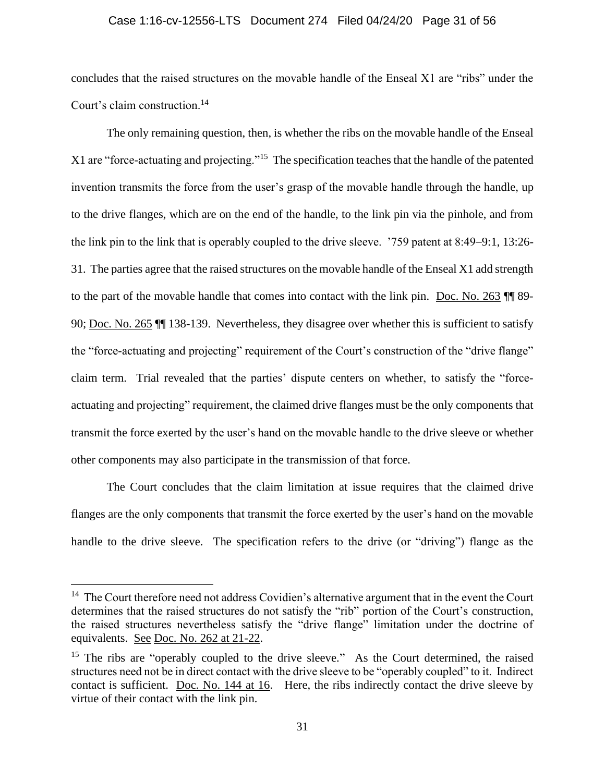#### Case 1:16-cv-12556-LTS Document 274 Filed 04/24/20 Page 31 of 56

concludes that the raised structures on the movable handle of the Enseal X1 are "ribs" under the Court's claim construction.<sup>14</sup>

The only remaining question, then, is whether the ribs on the movable handle of the Enseal X1 are "force-actuating and projecting."<sup>15</sup> The specification teaches that the handle of the patented invention transmits the force from the user's grasp of the movable handle through the handle, up to the drive flanges, which are on the end of the handle, to the link pin via the pinhole, and from the link pin to the link that is operably coupled to the drive sleeve. '759 patent at 8:49–9:1, 13:26- 31. The parties agree that the raised structures on the movable handle of the Enseal X1 add strength to the part of the movable handle that comes into contact with the link pin. [Doc. No. 263](https://ecf.mad.uscourts.gov/doc1/09519798011) ¶¶ 89- 90; [Doc. No. 265](https://ecf.mad.uscourts.gov/doc1/09519798070) ¶¶ 138-139. Nevertheless, they disagree over whether this is sufficient to satisfy the "force-actuating and projecting" requirement of the Court's construction of the "drive flange" claim term. Trial revealed that the parties' dispute centers on whether, to satisfy the "forceactuating and projecting" requirement, the claimed drive flanges must be the only components that transmit the force exerted by the user's hand on the movable handle to the drive sleeve or whether other components may also participate in the transmission of that force.

The Court concludes that the claim limitation at issue requires that the claimed drive flanges are the only components that transmit the force exerted by the user's hand on the movable handle to the drive sleeve. The specification refers to the drive (or "driving") flange as the

 $14$  The Court therefore need not address Covidien's alternative argument that in the event the Court determines that the raised structures do not satisfy the "rib" portion of the Court's construction, the raised structures nevertheless satisfy the "drive flange" limitation under the doctrine of equivalents. See [Doc. No. 262 at 21-22.](https://ecf.mad.uscourts.gov/doc1/09519798006?page=21)

<sup>&</sup>lt;sup>15</sup> The ribs are "operably coupled to the drive sleeve." As the Court determined, the raised structures need not be in direct contact with the drive sleeve to be "operably coupled" to it. Indirect contact is sufficient. [Doc. No. 144 at 16.](https://ecf.mad.uscourts.gov/doc1/09518759534?page=16) Here, the ribs indirectly contact the drive sleeve by virtue of their contact with the link pin.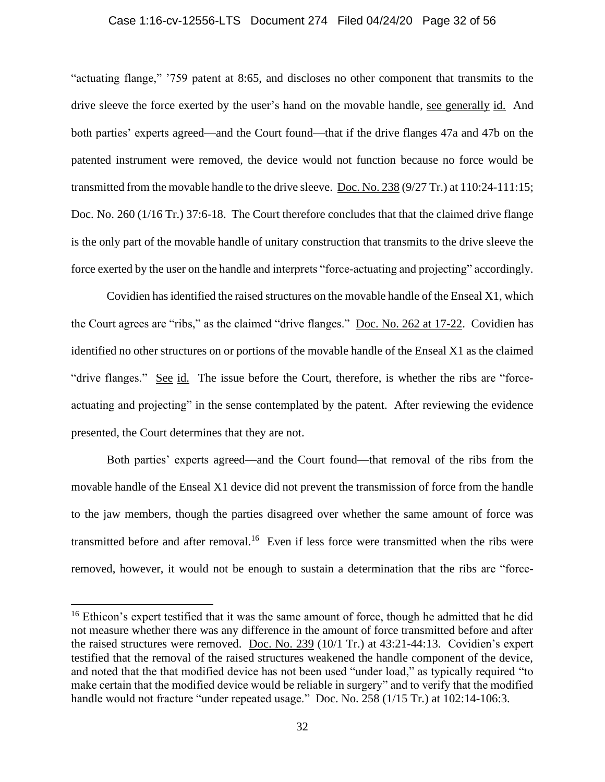# Case 1:16-cv-12556-LTS Document 274 Filed 04/24/20 Page 32 of 56

"actuating flange," '759 patent at 8:65, and discloses no other component that transmits to the drive sleeve the force exerted by the user's hand on the movable handle, see generally id. And both parties' experts agreed—and the Court found—that if the drive flanges 47a and 47b on the patented instrument were removed, the device would not function because no force would be transmitted from the movable handle to the drive sleeve. [Doc. No. 238](https://ecf.mad.uscourts.gov/doc1/09519594181) (9/27 Tr.) at 110:24-111:15; Doc. No. 260 (1/16 Tr.) 37:6-18. The Court therefore concludes that that the claimed drive flange is the only part of the movable handle of unitary construction that transmits to the drive sleeve the force exerted by the user on the handle and interprets "force-actuating and projecting" accordingly.

Covidien has identified the raised structures on the movable handle of the Enseal X1, which the Court agrees are "ribs," as the claimed "drive flanges." [Doc. No. 262 at 17-22.](https://ecf.mad.uscourts.gov/doc1/09519798006?page=17) Covidien has identified no other structures on or portions of the movable handle of the Enseal X1 as the claimed "drive flanges." See id. The issue before the Court, therefore, is whether the ribs are "forceactuating and projecting" in the sense contemplated by the patent. After reviewing the evidence presented, the Court determines that they are not.

Both parties' experts agreed—and the Court found—that removal of the ribs from the movable handle of the Enseal X1 device did not prevent the transmission of force from the handle to the jaw members, though the parties disagreed over whether the same amount of force was transmitted before and after removal.<sup>16</sup> Even if less force were transmitted when the ribs were removed, however, it would not be enough to sustain a determination that the ribs are "force-

<sup>&</sup>lt;sup>16</sup> Ethicon's expert testified that it was the same amount of force, though he admitted that he did not measure whether there was any difference in the amount of force transmitted before and after the raised structures were removed. [Doc. No. 239](https://ecf.mad.uscourts.gov/doc1/09519594186) (10/1 Tr.) at 43:21-44:13. Covidien's expert testified that the removal of the raised structures weakened the handle component of the device, and noted that the that modified device has not been used "under load," as typically required "to make certain that the modified device would be reliable in surgery" and to verify that the modified handle would not fracture "under repeated usage." Doc. No. 258 (1/15 Tr.) at 102:14-106:3.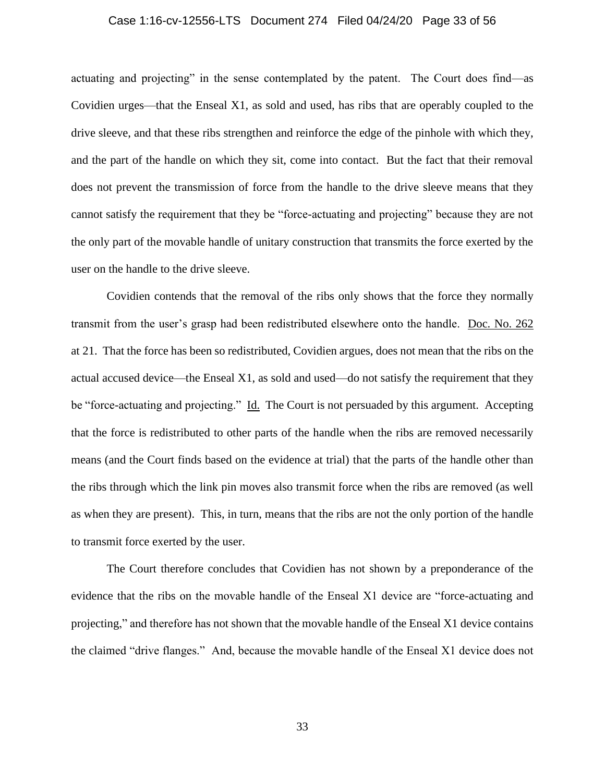# Case 1:16-cv-12556-LTS Document 274 Filed 04/24/20 Page 33 of 56

actuating and projecting" in the sense contemplated by the patent. The Court does find—as Covidien urges—that the Enseal X1, as sold and used, has ribs that are operably coupled to the drive sleeve, and that these ribs strengthen and reinforce the edge of the pinhole with which they, and the part of the handle on which they sit, come into contact. But the fact that their removal does not prevent the transmission of force from the handle to the drive sleeve means that they cannot satisfy the requirement that they be "force-actuating and projecting" because they are not the only part of the movable handle of unitary construction that transmits the force exerted by the user on the handle to the drive sleeve.

Covidien contends that the removal of the ribs only shows that the force they normally transmit from the user's grasp had been redistributed elsewhere onto the handle. [Doc. No. 262](https://ecf.mad.uscourts.gov/doc1/09519798006) at 21. That the force has been so redistributed, Covidien argues, does not mean that the ribs on the actual accused device—the Enseal X1, as sold and used—do not satisfy the requirement that they be "force-actuating and projecting." Id. The Court is not persuaded by this argument. Accepting that the force is redistributed to other parts of the handle when the ribs are removed necessarily means (and the Court finds based on the evidence at trial) that the parts of the handle other than the ribs through which the link pin moves also transmit force when the ribs are removed (as well as when they are present). This, in turn, means that the ribs are not the only portion of the handle to transmit force exerted by the user.

The Court therefore concludes that Covidien has not shown by a preponderance of the evidence that the ribs on the movable handle of the Enseal X1 device are "force-actuating and projecting," and therefore has not shown that the movable handle of the Enseal X1 device contains the claimed "drive flanges." And, because the movable handle of the Enseal X1 device does not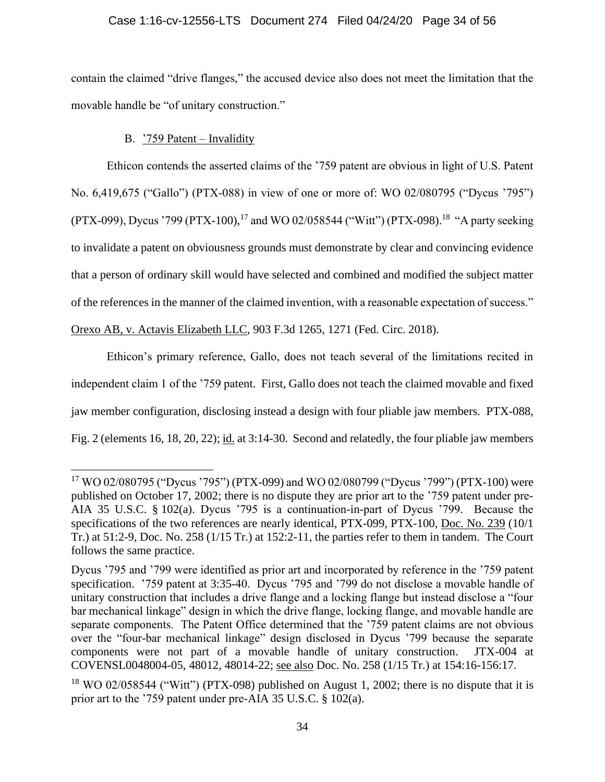# Case 1:16-cv-12556-LTS Document 274 Filed 04/24/20 Page 34 of 56

contain the claimed "drive flanges," the accused device also does not meet the limitation that the movable handle be "of unitary construction."

# B.  $\frac{759 \text{ Patent} - \text{Invalidity}}{259 \text{ Patent}}$

Ethicon contends the asserted claims of the '759 patent are obvious in light of U.S. Patent No. 6,419,675 ("Gallo") (PTX-088) in view of one or more of: WO 02/080795 ("Dycus '795") (PTX-099), Dycus '799 (PTX-100),<sup>17</sup> and WO 02/058544 ("Witt") (PTX-098).<sup>18</sup> "A party seeking to invalidate a patent on obviousness grounds must demonstrate by clear and convincing evidence that a person of ordinary skill would have selected and combined and modified the subject matter of the references in the manner of the claimed invention, with a reasonable expectation of success."

Orexo AB, v. Actavis Elizabeth LLC, 903 F.3d 1265, 1271 (Fed. Circ. 2018).

Ethicon's primary reference, Gallo, does not teach several of the limitations recited in independent claim 1 of the '759 patent. First, Gallo does not teach the claimed movable and fixed jaw member configuration, disclosing instead a design with four pliable jaw members. PTX-088, Fig. 2 (elements 16, 18, 20, 22); id. at 3:14-30. Second and relatedly, the four pliable jaw members

<sup>17</sup> WO 02/080795 ("Dycus '795") (PTX-099) and WO 02/080799 ("Dycus '799") (PTX-100) were published on October 17, 2002; there is no dispute they are prior art to the '759 patent under pre-AIA 35 U.S.C. § 102(a). Dycus '795 is a continuation-in-part of Dycus '799. Because the specifications of the two references are nearly identical, PTX-099, PTX-100, [Doc. No. 239](https://ecf.mad.uscourts.gov/doc1/09519594186) (10/1 Tr.) at 51:2-9, Doc. No. 258 (1/15 Tr.) at 152:2-11, the parties refer to them in tandem. The Court follows the same practice.

Dycus '795 and '799 were identified as prior art and incorporated by reference in the '759 patent specification. '759 patent at 3:35-40. Dycus '795 and '799 do not disclose a movable handle of unitary construction that includes a drive flange and a locking flange but instead disclose a "four bar mechanical linkage" design in which the drive flange, locking flange, and movable handle are separate components. The Patent Office determined that the '759 patent claims are not obvious over the "four-bar mechanical linkage" design disclosed in Dycus '799 because the separate components were not part of a movable handle of unitary construction. JTX-004 at COVENSL0048004-05, 48012, 48014-22; see also Doc. No. 258 (1/15 Tr.) at 154:16-156:17.

<sup>&</sup>lt;sup>18</sup> WO 02/058544 ("Witt") (PTX-098) published on August 1, 2002; there is no dispute that it is prior art to the '759 patent under pre-AIA 35 U.S.C. § 102(a).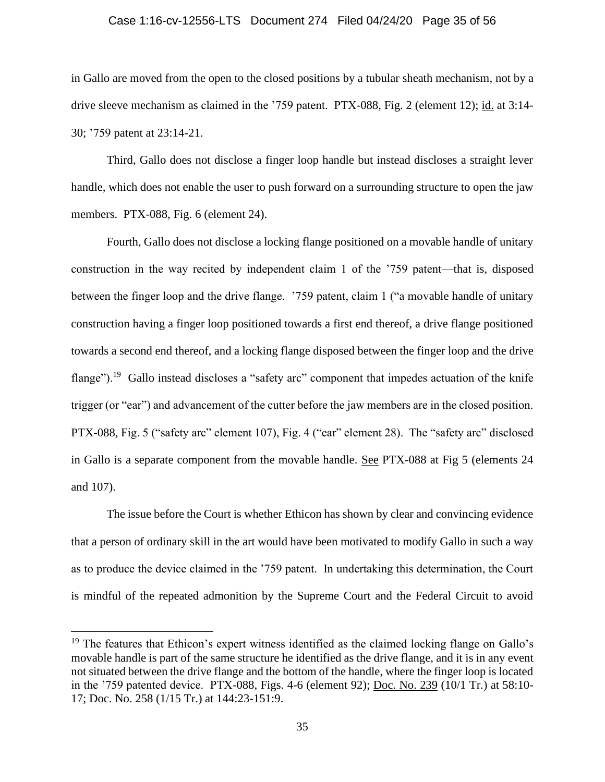#### Case 1:16-cv-12556-LTS Document 274 Filed 04/24/20 Page 35 of 56

in Gallo are moved from the open to the closed positions by a tubular sheath mechanism, not by a drive sleeve mechanism as claimed in the '759 patent. PTX-088, Fig. 2 (element 12); id. at 3:14-30; '759 patent at 23:14-21.

Third, Gallo does not disclose a finger loop handle but instead discloses a straight lever handle, which does not enable the user to push forward on a surrounding structure to open the jaw members. PTX-088, Fig. 6 (element 24).

Fourth, Gallo does not disclose a locking flange positioned on a movable handle of unitary construction in the way recited by independent claim 1 of the '759 patent—that is, disposed between the finger loop and the drive flange. '759 patent, claim 1 ("a movable handle of unitary construction having a finger loop positioned towards a first end thereof, a drive flange positioned towards a second end thereof, and a locking flange disposed between the finger loop and the drive flange").<sup>19</sup> Gallo instead discloses a "safety arc" component that impedes actuation of the knife trigger (or "ear") and advancement of the cutter before the jaw members are in the closed position. PTX-088, Fig. 5 ("safety arc" element 107), Fig. 4 ("ear" element 28). The "safety arc" disclosed in Gallo is a separate component from the movable handle. See PTX-088 at Fig 5 (elements 24 and 107).

The issue before the Court is whether Ethicon has shown by clear and convincing evidence that a person of ordinary skill in the art would have been motivated to modify Gallo in such a way as to produce the device claimed in the '759 patent. In undertaking this determination, the Court is mindful of the repeated admonition by the Supreme Court and the Federal Circuit to avoid

 $19$  The features that Ethicon's expert witness identified as the claimed locking flange on Gallo's movable handle is part of the same structure he identified as the drive flange, and it is in any event not situated between the drive flange and the bottom of the handle, where the finger loop is located in the '759 patented device. PTX-088, Figs. 4-6 (element 92); [Doc. No. 239](https://ecf.mad.uscourts.gov/doc1/09519594186) (10/1 Tr.) at 58:10- 17; Doc. No. 258 (1/15 Tr.) at 144:23-151:9.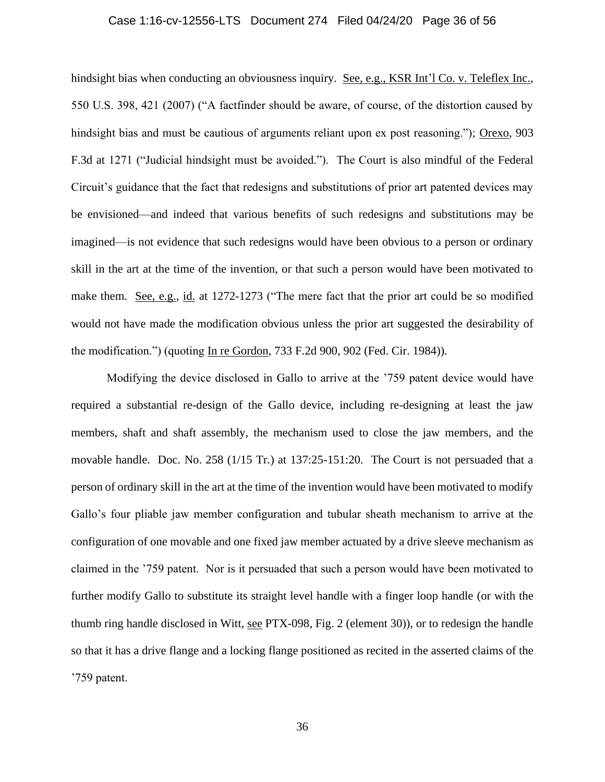# Case 1:16-cv-12556-LTS Document 274 Filed 04/24/20 Page 36 of 56

hindsight bias when conducting an obviousness inquiry. See, e.g., KSR Int'l Co. v. Teleflex Inc., 550 U.S. 398, 421 (2007) ("A factfinder should be aware, of course, of the distortion caused by hindsight bias and must be cautious of arguments reliant upon ex post reasoning."); Orexo, 903 F.3d at 1271 ("Judicial hindsight must be avoided."). The Court is also mindful of the Federal Circuit's guidance that the fact that redesigns and substitutions of prior art patented devices may be envisioned—and indeed that various benefits of such redesigns and substitutions may be imagined—is not evidence that such redesigns would have been obvious to a person or ordinary skill in the art at the time of the invention, or that such a person would have been motivated to make them. See, e.g., id. at 1272-1273 ("The mere fact that the prior art could be so modified would not have made the modification obvious unless the prior art suggested the desirability of the modification.") (quoting In re Gordon, 733 F.2d 900, 902 (Fed. Cir. 1984)).

Modifying the device disclosed in Gallo to arrive at the '759 patent device would have required a substantial re-design of the Gallo device, including re-designing at least the jaw members, shaft and shaft assembly, the mechanism used to close the jaw members, and the movable handle. Doc. No. 258 (1/15 Tr.) at 137:25-151:20. The Court is not persuaded that a person of ordinary skill in the art at the time of the invention would have been motivated to modify Gallo's four pliable jaw member configuration and tubular sheath mechanism to arrive at the configuration of one movable and one fixed jaw member actuated by a drive sleeve mechanism as claimed in the '759 patent. Nor is it persuaded that such a person would have been motivated to further modify Gallo to substitute its straight level handle with a finger loop handle (or with the thumb ring handle disclosed in Witt, see PTX-098, Fig. 2 (element 30)), or to redesign the handle so that it has a drive flange and a locking flange positioned as recited in the asserted claims of the '759 patent.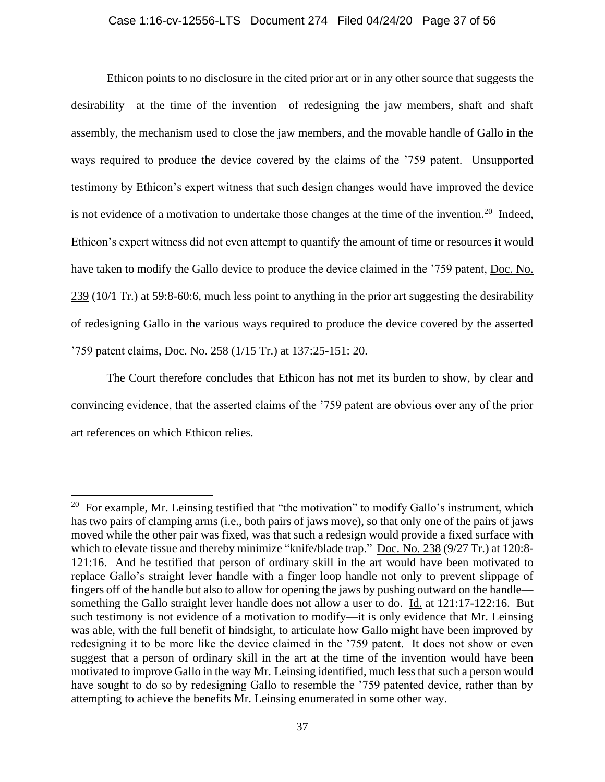# Case 1:16-cv-12556-LTS Document 274 Filed 04/24/20 Page 37 of 56

Ethicon points to no disclosure in the cited prior art or in any other source that suggests the desirability—at the time of the invention—of redesigning the jaw members, shaft and shaft assembly, the mechanism used to close the jaw members, and the movable handle of Gallo in the ways required to produce the device covered by the claims of the '759 patent. Unsupported testimony by Ethicon's expert witness that such design changes would have improved the device is not evidence of a motivation to undertake those changes at the time of the invention.<sup>20</sup> Indeed, Ethicon's expert witness did not even attempt to quantify the amount of time or resources it would have taken to modify the Gallo device to produce the device claimed in the '759 patent, Doc. No. [239](https://ecf.mad.uscourts.gov/doc1/09519594186) (10/1 Tr.) at 59:8-60:6, much less point to anything in the prior art suggesting the desirability of redesigning Gallo in the various ways required to produce the device covered by the asserted '759 patent claims, Doc. No. 258 (1/15 Tr.) at 137:25-151: 20.

The Court therefore concludes that Ethicon has not met its burden to show, by clear and convincing evidence, that the asserted claims of the '759 patent are obvious over any of the prior art references on which Ethicon relies.

 $20$  For example, Mr. Leinsing testified that "the motivation" to modify Gallo's instrument, which has two pairs of clamping arms (i.e., both pairs of jaws move), so that only one of the pairs of jaws moved while the other pair was fixed, was that such a redesign would provide a fixed surface with which to elevate tissue and thereby minimize "knife/blade trap." [Doc.](https://ecf.mad.uscourts.gov/doc1/09519594181) No. 238 (9/27 Tr.) at 120:8- 121:16. And he testified that person of ordinary skill in the art would have been motivated to replace Gallo's straight lever handle with a finger loop handle not only to prevent slippage of fingers off of the handle but also to allow for opening the jaws by pushing outward on the handle something the Gallo straight lever handle does not allow a user to do. Id. at 121:17-122:16. But such testimony is not evidence of a motivation to modify—it is only evidence that Mr. Leinsing was able, with the full benefit of hindsight, to articulate how Gallo might have been improved by redesigning it to be more like the device claimed in the '759 patent. It does not show or even suggest that a person of ordinary skill in the art at the time of the invention would have been motivated to improve Gallo in the way Mr. Leinsing identified, much less that such a person would have sought to do so by redesigning Gallo to resemble the '759 patented device, rather than by attempting to achieve the benefits Mr. Leinsing enumerated in some other way.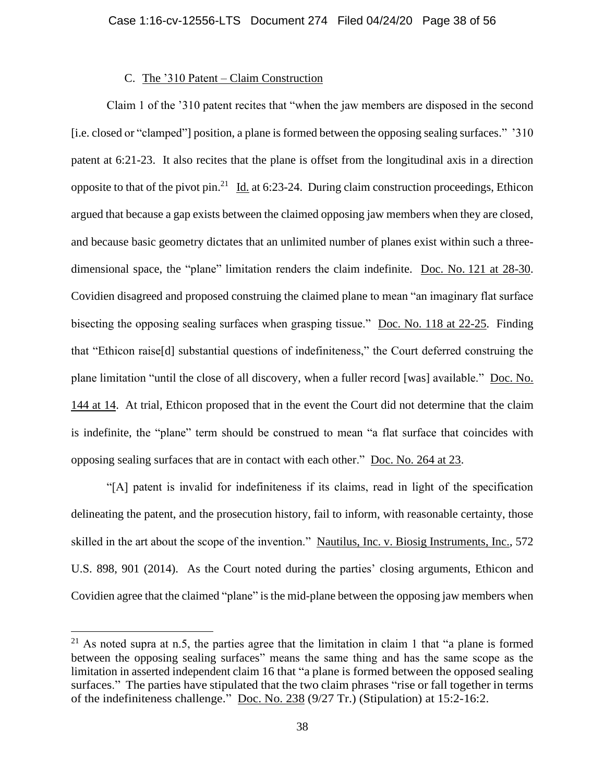# C. The '310 Patent – Claim Construction

Claim 1 of the '310 patent recites that "when the jaw members are disposed in the second [i.e. closed or "clamped"] position, a plane is formed between the opposing sealing surfaces." '310 patent at 6:21-23. It also recites that the plane is offset from the longitudinal axis in a direction opposite to that of the pivot pin.<sup>21</sup> Id. at 6:23-24. During claim construction proceedings, Ethicon argued that because a gap exists between the claimed opposing jaw members when they are closed, and because basic geometry dictates that an unlimited number of planes exist within such a threedimensional space, the "plane" limitation renders the claim indefinite. Doc. No. [121 at 28-30.](https://ecf.mad.uscourts.gov/doc1/09518611485?page=28) Covidien disagreed and proposed construing the claimed plane to mean "an imaginary flat surface bisecting the opposing sealing surfaces when grasping tissue." [Doc. No. 118 at 22-25.](https://ecf.mad.uscourts.gov/doc1/09518611357?page=22) Finding that "Ethicon raise[d] substantial questions of indefiniteness," the Court deferred construing the plane limitation "until the close of all discovery, when a fuller record [was] available." [Doc. No.](https://ecf.mad.uscourts.gov/doc1/09518759534?page=14)  [144 at 14.](https://ecf.mad.uscourts.gov/doc1/09518759534?page=14) At trial, Ethicon proposed that in the event the Court did not determine that the claim is indefinite, the "plane" term should be construed to mean "a flat surface that coincides with opposing sealing surfaces that are in contact with each other." [Doc. No. 264 at 23.](https://ecf.mad.uscourts.gov/doc1/09519798050?page=23)

"[A] patent is invalid for indefiniteness if its claims, read in light of the specification delineating the patent, and the prosecution history, fail to inform, with reasonable certainty, those skilled in the art about the scope of the invention." Nautilus, Inc. v. Biosig Instruments, Inc., 572 U.S. 898, 901 (2014). As the Court noted during the parties' closing arguments, Ethicon and Covidien agree that the claimed "plane" is the mid-plane between the opposing jaw members when

<sup>&</sup>lt;sup>21</sup> As noted supra at n.5, the parties agree that the limitation in claim 1 that "a plane is formed between the opposing sealing surfaces" means the same thing and has the same scope as the limitation in asserted independent claim 16 that "a plane is formed between the opposed sealing surfaces." The parties have stipulated that the two claim phrases "rise or fall together in terms of the indefiniteness challenge." [Doc. No. 238](https://ecf.mad.uscourts.gov/doc1/09519594181) (9/27 Tr.) (Stipulation) at 15:2-16:2.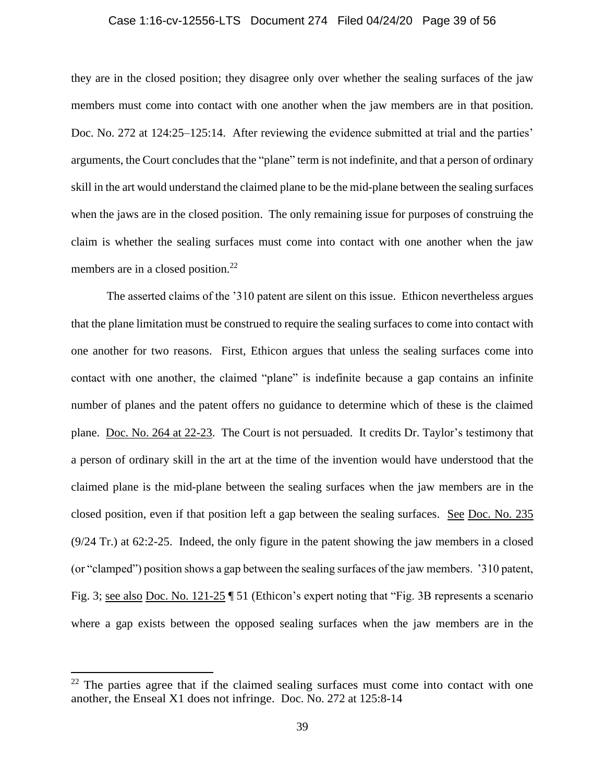# Case 1:16-cv-12556-LTS Document 274 Filed 04/24/20 Page 39 of 56

they are in the closed position; they disagree only over whether the sealing surfaces of the jaw members must come into contact with one another when the jaw members are in that position. Doc. No. 272 at 124:25–125:14. After reviewing the evidence submitted at trial and the parties' arguments, the Court concludes that the "plane" term is not indefinite, and that a person of ordinary skill in the art would understand the claimed plane to be the mid-plane between the sealing surfaces when the jaws are in the closed position. The only remaining issue for purposes of construing the claim is whether the sealing surfaces must come into contact with one another when the jaw members are in a closed position.<sup>22</sup>

The asserted claims of the '310 patent are silent on this issue. Ethicon nevertheless argues that the plane limitation must be construed to require the sealing surfaces to come into contact with one another for two reasons. First, Ethicon argues that unless the sealing surfaces come into contact with one another, the claimed "plane" is indefinite because a gap contains an infinite number of planes and the patent offers no guidance to determine which of these is the claimed plane. [Doc. No. 264 at 22-23.](https://ecf.mad.uscourts.gov/doc1/09519798050?page=22) The Court is not persuaded. It credits Dr. Taylor's testimony that a person of ordinary skill in the art at the time of the invention would have understood that the claimed plane is the mid-plane between the sealing surfaces when the jaw members are in the closed position, even if that position left a gap between the sealing surfaces. See [Doc. No. 235](https://ecf.mad.uscourts.gov/doc1/09519594160) (9/24 Tr.) at 62:2-25. Indeed, the only figure in the patent showing the jaw members in a closed (or "clamped") position shows a gap between the sealing surfaces of the jaw members. '310 patent, Fig. 3; see also [Doc. No. 121-25](https://ecf.mad.uscourts.gov/doc1/09518611510) ¶ 51 (Ethicon's expert noting that "Fig. 3B represents a scenario where a gap exists between the opposed sealing surfaces when the jaw members are in the

 $22$  The parties agree that if the claimed sealing surfaces must come into contact with one another, the Enseal X1 does not infringe. Doc. No. 272 at 125:8-14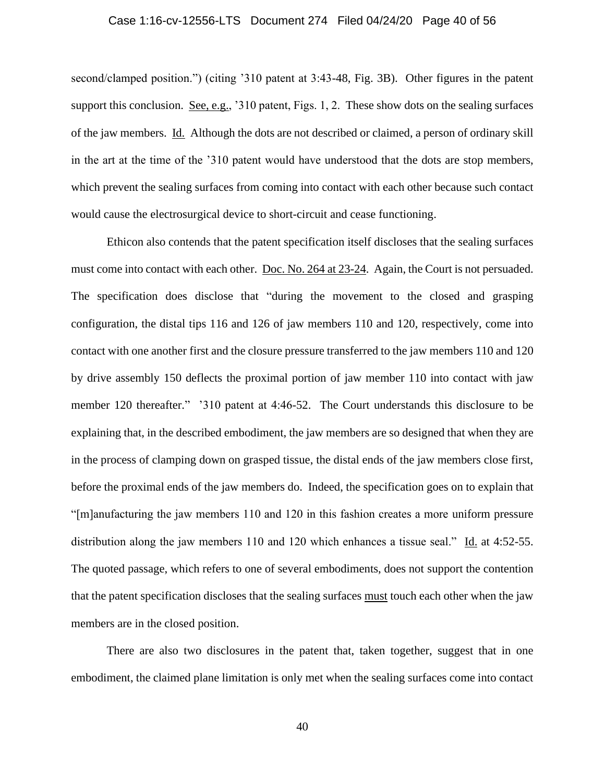# Case 1:16-cv-12556-LTS Document 274 Filed 04/24/20 Page 40 of 56

second/clamped position.") (citing '310 patent at 3:43-48, Fig. 3B). Other figures in the patent support this conclusion. See, e.g., '310 patent, Figs. 1, 2. These show dots on the sealing surfaces of the jaw members. Id. Although the dots are not described or claimed, a person of ordinary skill in the art at the time of the '310 patent would have understood that the dots are stop members, which prevent the sealing surfaces from coming into contact with each other because such contact would cause the electrosurgical device to short-circuit and cease functioning.

Ethicon also contends that the patent specification itself discloses that the sealing surfaces must come into contact with each other. [Doc. No. 264 at 23-24.](https://ecf.mad.uscourts.gov/doc1/09519798050?page=23) Again, the Court is not persuaded. The specification does disclose that "during the movement to the closed and grasping configuration, the distal tips 116 and 126 of jaw members 110 and 120, respectively, come into contact with one another first and the closure pressure transferred to the jaw members 110 and 120 by drive assembly 150 deflects the proximal portion of jaw member 110 into contact with jaw member 120 thereafter." '310 patent at 4:46-52. The Court understands this disclosure to be explaining that, in the described embodiment, the jaw members are so designed that when they are in the process of clamping down on grasped tissue, the distal ends of the jaw members close first, before the proximal ends of the jaw members do. Indeed, the specification goes on to explain that "[m]anufacturing the jaw members 110 and 120 in this fashion creates a more uniform pressure distribution along the jaw members 110 and 120 which enhances a tissue seal." Id. at 4:52-55. The quoted passage, which refers to one of several embodiments, does not support the contention that the patent specification discloses that the sealing surfaces must touch each other when the jaw members are in the closed position.

There are also two disclosures in the patent that, taken together, suggest that in one embodiment, the claimed plane limitation is only met when the sealing surfaces come into contact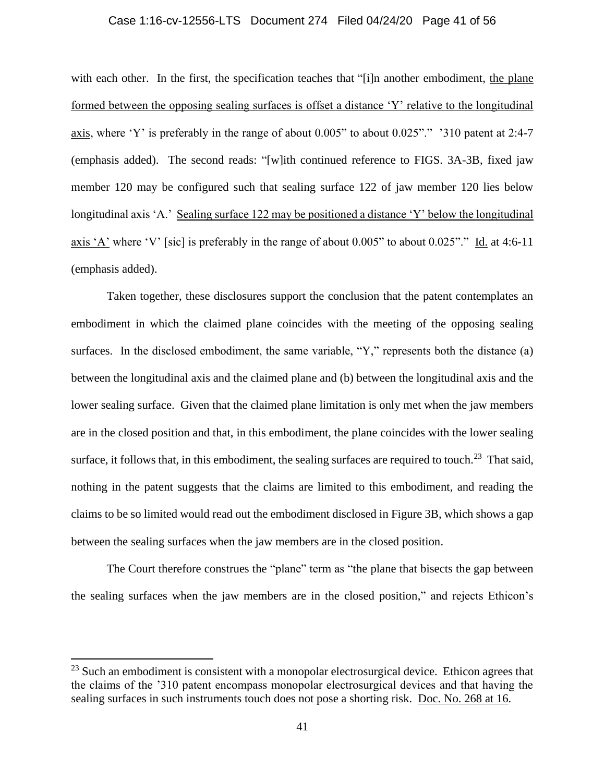# Case 1:16-cv-12556-LTS Document 274 Filed 04/24/20 Page 41 of 56

with each other. In the first, the specification teaches that "[i]n another embodiment, the plane formed between the opposing sealing surfaces is offset a distance 'Y' relative to the longitudinal axis, where 'Y' is preferably in the range of about 0.005" to about 0.025"." '310 patent at 2:4-7 (emphasis added). The second reads: "[w]ith continued reference to FIGS. 3A-3B, fixed jaw member 120 may be configured such that sealing surface 122 of jaw member 120 lies below longitudinal axis 'A.' Sealing surface 122 may be positioned a distance 'Y' below the longitudinal axis 'A' where 'V' [sic] is preferably in the range of about 0.005" to about 0.025"." Id. at 4:6-11 (emphasis added).

Taken together, these disclosures support the conclusion that the patent contemplates an embodiment in which the claimed plane coincides with the meeting of the opposing sealing surfaces. In the disclosed embodiment, the same variable, "Y," represents both the distance (a) between the longitudinal axis and the claimed plane and (b) between the longitudinal axis and the lower sealing surface. Given that the claimed plane limitation is only met when the jaw members are in the closed position and that, in this embodiment, the plane coincides with the lower sealing surface, it follows that, in this embodiment, the sealing surfaces are required to touch.<sup>23</sup> That said, nothing in the patent suggests that the claims are limited to this embodiment, and reading the claims to be so limited would read out the embodiment disclosed in Figure 3B, which shows a gap between the sealing surfaces when the jaw members are in the closed position.

The Court therefore construes the "plane" term as "the plane that bisects the gap between the sealing surfaces when the jaw members are in the closed position," and rejects Ethicon's

 $^{23}$  Such an embodiment is consistent with a monopolar electrosurgical device. Ethicon agrees that the claims of the '310 patent encompass monopolar electrosurgical devices and that having the sealing surfaces in such instruments touch does not pose a shorting risk. Doc. [No. 268 at 16.](https://ecf.mad.uscourts.gov/doc1/09519841891?page=16)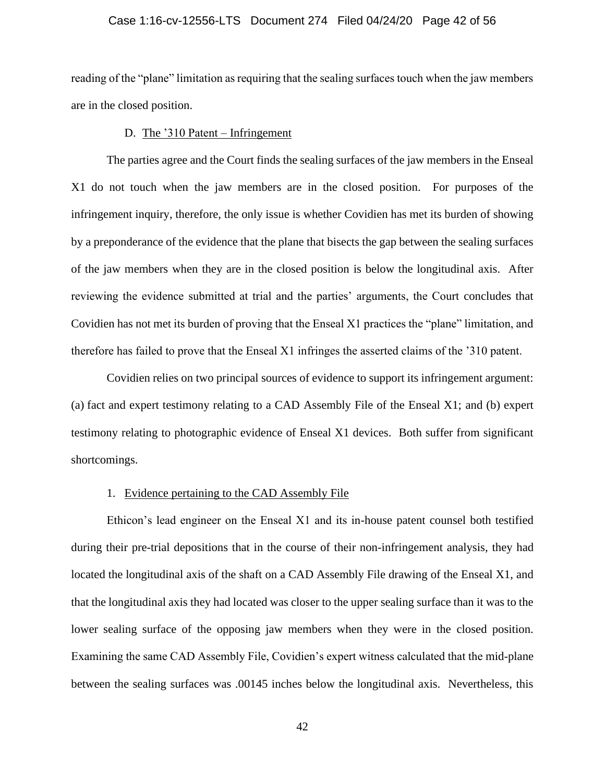# Case 1:16-cv-12556-LTS Document 274 Filed 04/24/20 Page 42 of 56

reading of the "plane" limitation as requiring that the sealing surfaces touch when the jaw members are in the closed position.

### D. The '310 Patent – Infringement

The parties agree and the Court finds the sealing surfaces of the jaw members in the Enseal X1 do not touch when the jaw members are in the closed position. For purposes of the infringement inquiry, therefore, the only issue is whether Covidien has met its burden of showing by a preponderance of the evidence that the plane that bisects the gap between the sealing surfaces of the jaw members when they are in the closed position is below the longitudinal axis. After reviewing the evidence submitted at trial and the parties' arguments, the Court concludes that Covidien has not met its burden of proving that the Enseal X1 practices the "plane" limitation, and therefore has failed to prove that the Enseal X1 infringes the asserted claims of the '310 patent.

Covidien relies on two principal sources of evidence to support its infringement argument: (a) fact and expert testimony relating to a CAD Assembly File of the Enseal X1; and (b) expert testimony relating to photographic evidence of Enseal X1 devices. Both suffer from significant shortcomings.

#### 1. Evidence pertaining to the CAD Assembly File

Ethicon's lead engineer on the Enseal X1 and its in-house patent counsel both testified during their pre-trial depositions that in the course of their non-infringement analysis, they had located the longitudinal axis of the shaft on a CAD Assembly File drawing of the Enseal X1, and that the longitudinal axis they had located was closer to the upper sealing surface than it was to the lower sealing surface of the opposing jaw members when they were in the closed position. Examining the same CAD Assembly File, Covidien's expert witness calculated that the mid-plane between the sealing surfaces was .00145 inches below the longitudinal axis. Nevertheless, this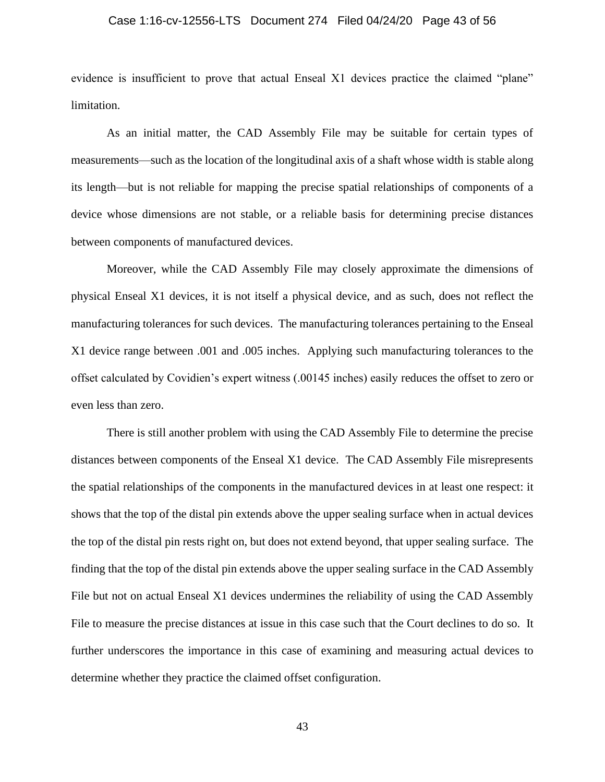# Case 1:16-cv-12556-LTS Document 274 Filed 04/24/20 Page 43 of 56

evidence is insufficient to prove that actual Enseal X1 devices practice the claimed "plane" limitation.

As an initial matter, the CAD Assembly File may be suitable for certain types of measurements—such as the location of the longitudinal axis of a shaft whose width is stable along its length—but is not reliable for mapping the precise spatial relationships of components of a device whose dimensions are not stable, or a reliable basis for determining precise distances between components of manufactured devices.

Moreover, while the CAD Assembly File may closely approximate the dimensions of physical Enseal X1 devices, it is not itself a physical device, and as such, does not reflect the manufacturing tolerances for such devices. The manufacturing tolerances pertaining to the Enseal X1 device range between .001 and .005 inches. Applying such manufacturing tolerances to the offset calculated by Covidien's expert witness (.00145 inches) easily reduces the offset to zero or even less than zero.

There is still another problem with using the CAD Assembly File to determine the precise distances between components of the Enseal X1 device. The CAD Assembly File misrepresents the spatial relationships of the components in the manufactured devices in at least one respect: it shows that the top of the distal pin extends above the upper sealing surface when in actual devices the top of the distal pin rests right on, but does not extend beyond, that upper sealing surface. The finding that the top of the distal pin extends above the upper sealing surface in the CAD Assembly File but not on actual Enseal X1 devices undermines the reliability of using the CAD Assembly File to measure the precise distances at issue in this case such that the Court declines to do so. It further underscores the importance in this case of examining and measuring actual devices to determine whether they practice the claimed offset configuration.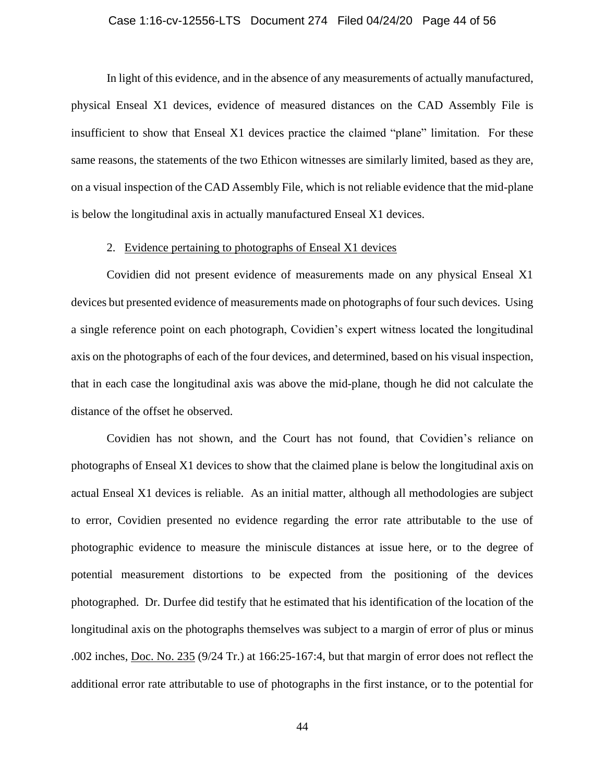# Case 1:16-cv-12556-LTS Document 274 Filed 04/24/20 Page 44 of 56

In light of this evidence, and in the absence of any measurements of actually manufactured, physical Enseal X1 devices, evidence of measured distances on the CAD Assembly File is insufficient to show that Enseal X1 devices practice the claimed "plane" limitation. For these same reasons, the statements of the two Ethicon witnesses are similarly limited, based as they are, on a visual inspection of the CAD Assembly File, which is not reliable evidence that the mid-plane is below the longitudinal axis in actually manufactured Enseal X1 devices.

# 2. Evidence pertaining to photographs of Enseal X1 devices

Covidien did not present evidence of measurements made on any physical Enseal X1 devices but presented evidence of measurements made on photographs of four such devices. Using a single reference point on each photograph, Covidien's expert witness located the longitudinal axis on the photographs of each of the four devices, and determined, based on his visual inspection, that in each case the longitudinal axis was above the mid-plane, though he did not calculate the distance of the offset he observed.

Covidien has not shown, and the Court has not found, that Covidien's reliance on photographs of Enseal X1 devices to show that the claimed plane is below the longitudinal axis on actual Enseal X1 devices is reliable. As an initial matter, although all methodologies are subject to error, Covidien presented no evidence regarding the error rate attributable to the use of photographic evidence to measure the miniscule distances at issue here, or to the degree of potential measurement distortions to be expected from the positioning of the devices photographed. Dr. Durfee did testify that he estimated that his identification of the location of the longitudinal axis on the photographs themselves was subject to a margin of error of plus or minus .002 inches, Doc. [No. 235](https://ecf.mad.uscourts.gov/doc1/09519594160) (9/24 Tr.) at 166:25-167:4, but that margin of error does not reflect the additional error rate attributable to use of photographs in the first instance, or to the potential for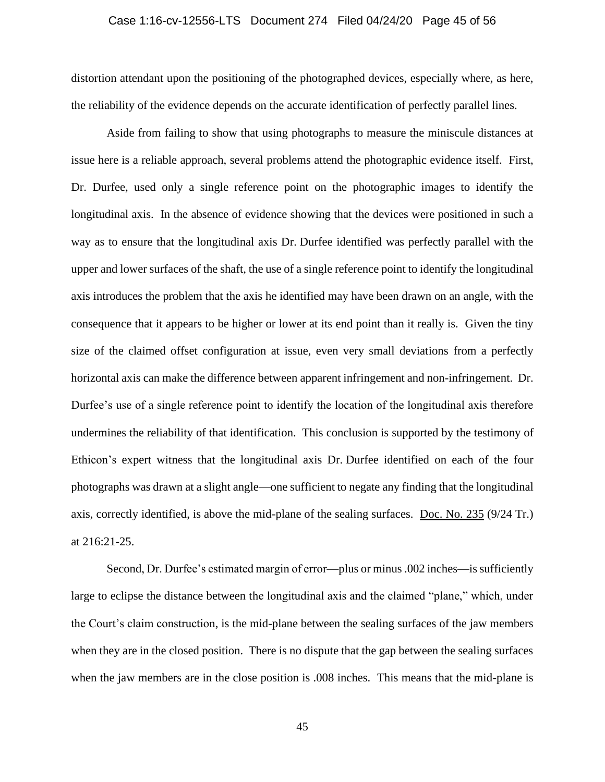# Case 1:16-cv-12556-LTS Document 274 Filed 04/24/20 Page 45 of 56

distortion attendant upon the positioning of the photographed devices, especially where, as here, the reliability of the evidence depends on the accurate identification of perfectly parallel lines.

Aside from failing to show that using photographs to measure the miniscule distances at issue here is a reliable approach, several problems attend the photographic evidence itself. First, Dr. Durfee, used only a single reference point on the photographic images to identify the longitudinal axis. In the absence of evidence showing that the devices were positioned in such a way as to ensure that the longitudinal axis Dr. Durfee identified was perfectly parallel with the upper and lower surfaces of the shaft, the use of a single reference point to identify the longitudinal axis introduces the problem that the axis he identified may have been drawn on an angle, with the consequence that it appears to be higher or lower at its end point than it really is. Given the tiny size of the claimed offset configuration at issue, even very small deviations from a perfectly horizontal axis can make the difference between apparent infringement and non-infringement. Dr. Durfee's use of a single reference point to identify the location of the longitudinal axis therefore undermines the reliability of that identification. This conclusion is supported by the testimony of Ethicon's expert witness that the longitudinal axis Dr. Durfee identified on each of the four photographs was drawn at a slight angle—one sufficient to negate any finding that the longitudinal axis, correctly identified, is above the mid-plane of the sealing surfaces. [Doc. No. 235](https://ecf.mad.uscourts.gov/doc1/09519594160) (9/24 Tr.) at 216:21-25.

Second, Dr. Durfee's estimated margin of error—plus or minus .002 inches—is sufficiently large to eclipse the distance between the longitudinal axis and the claimed "plane," which, under the Court's claim construction, is the mid-plane between the sealing surfaces of the jaw members when they are in the closed position. There is no dispute that the gap between the sealing surfaces when the jaw members are in the close position is .008 inches. This means that the mid-plane is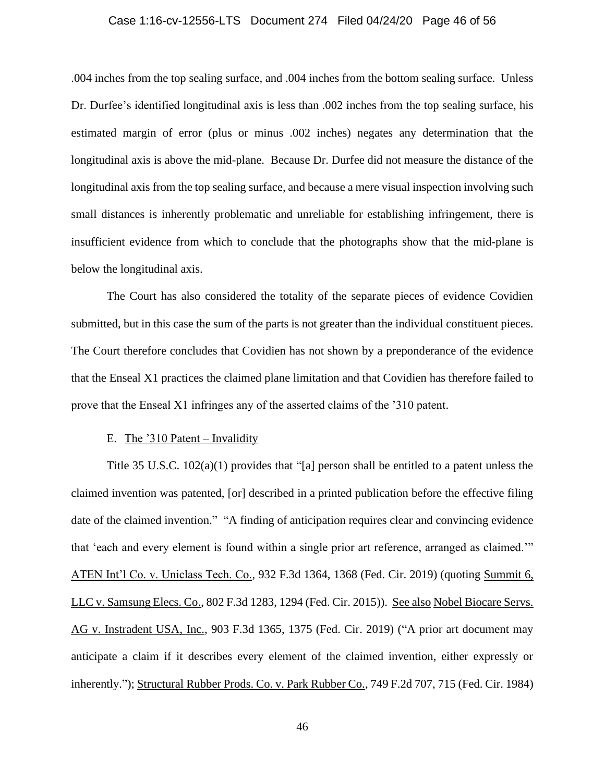# Case 1:16-cv-12556-LTS Document 274 Filed 04/24/20 Page 46 of 56

.004 inches from the top sealing surface, and .004 inches from the bottom sealing surface. Unless Dr. Durfee's identified longitudinal axis is less than .002 inches from the top sealing surface, his estimated margin of error (plus or minus .002 inches) negates any determination that the longitudinal axis is above the mid-plane. Because Dr. Durfee did not measure the distance of the longitudinal axis from the top sealing surface, and because a mere visual inspection involving such small distances is inherently problematic and unreliable for establishing infringement, there is insufficient evidence from which to conclude that the photographs show that the mid-plane is below the longitudinal axis.

The Court has also considered the totality of the separate pieces of evidence Covidien submitted, but in this case the sum of the parts is not greater than the individual constituent pieces. The Court therefore concludes that Covidien has not shown by a preponderance of the evidence that the Enseal X1 practices the claimed plane limitation and that Covidien has therefore failed to prove that the Enseal X1 infringes any of the asserted claims of the '310 patent.

### E. The '310 Patent – Invalidity

Title 35 U.S.C. 102(a)(1) provides that "[a] person shall be entitled to a patent unless the claimed invention was patented, [or] described in a printed publication before the effective filing date of the claimed invention." "A finding of anticipation requires clear and convincing evidence that 'each and every element is found within a single prior art reference, arranged as claimed.'" ATEN Int'l Co. v. Uniclass Tech. Co., 932 F.3d 1364, 1368 (Fed. Cir. 2019) (quoting Summit 6, LLC v. Samsung Elecs. Co., 802 F.3d 1283, 1294 (Fed. Cir. 2015)). See also Nobel Biocare Servs. AG v. Instradent USA, Inc., 903 F.3d 1365, 1375 (Fed. Cir. 2019) ("A prior art document may anticipate a claim if it describes every element of the claimed invention, either expressly or inherently."); Structural Rubber Prods. Co. v. Park Rubber Co., 749 F.2d 707, 715 (Fed. Cir. 1984)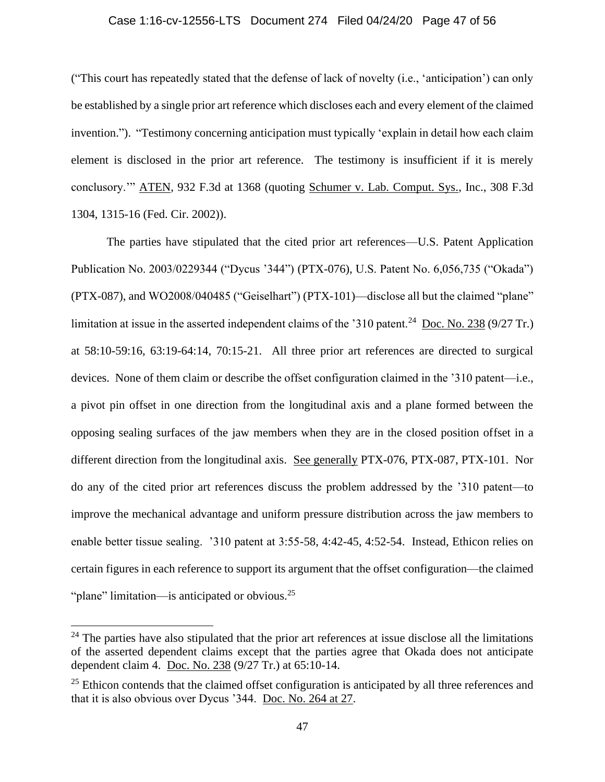# Case 1:16-cv-12556-LTS Document 274 Filed 04/24/20 Page 47 of 56

("This court has repeatedly stated that the defense of lack of novelty (i.e., 'anticipation') can only be established by a single prior art reference which discloses each and every element of the claimed invention."). "Testimony concerning anticipation must typically 'explain in detail how each claim element is disclosed in the prior art reference. The testimony is insufficient if it is merely conclusory.'" ATEN, 932 F.3d at 1368 (quoting Schumer v. Lab. Comput. Sys., Inc., 308 F.3d 1304, 1315-16 (Fed. Cir. 2002)).

The parties have stipulated that the cited prior art references—U.S. Patent Application Publication No. 2003/0229344 ("Dycus '344") (PTX-076), U.S. Patent No. 6,056,735 ("Okada") (PTX-087), and WO2008/040485 ("Geiselhart") (PTX-101)—disclose all but the claimed "plane" limitation at issue in the asserted independent claims of the '310 patent.<sup>24</sup> [Doc. No. 238](https://ecf.mad.uscourts.gov/doc1/09519594181) (9/27 Tr.) at 58:10-59:16, 63:19-64:14, 70:15-21. All three prior art references are directed to surgical devices. None of them claim or describe the offset configuration claimed in the '310 patent—i.e., a pivot pin offset in one direction from the longitudinal axis and a plane formed between the opposing sealing surfaces of the jaw members when they are in the closed position offset in a different direction from the longitudinal axis. See generally PTX-076, PTX-087, PTX-101. Nor do any of the cited prior art references discuss the problem addressed by the '310 patent—to improve the mechanical advantage and uniform pressure distribution across the jaw members to enable better tissue sealing. '310 patent at 3:55-58, 4:42-45, 4:52-54. Instead, Ethicon relies on certain figures in each reference to support its argument that the offset configuration—the claimed "plane" limitation—is anticipated or obvious.<sup>25</sup>

 $24$  The parties have also stipulated that the prior art references at issue disclose all the limitations of the asserted dependent claims except that the parties agree that Okada does not anticipate dependent claim 4. [Doc. No. 238](https://ecf.mad.uscourts.gov/doc1/09519594181) (9/27 Tr.) at 65:10-14.

<sup>&</sup>lt;sup>25</sup> Ethicon contends that the claimed offset configuration is anticipated by all three references and that it is also obvious over Dycus '344. [Doc. No. 264 at 27.](https://ecf.mad.uscourts.gov/doc1/09519798050?page=27)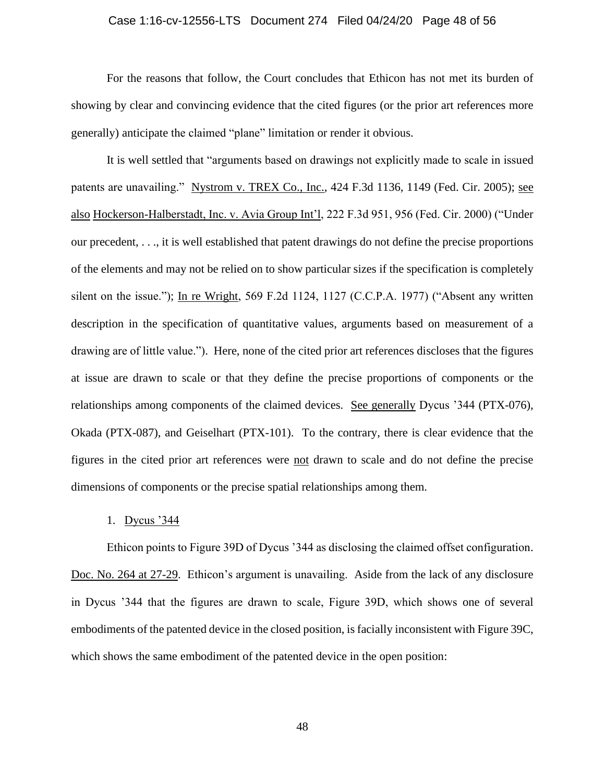# Case 1:16-cv-12556-LTS Document 274 Filed 04/24/20 Page 48 of 56

For the reasons that follow, the Court concludes that Ethicon has not met its burden of showing by clear and convincing evidence that the cited figures (or the prior art references more generally) anticipate the claimed "plane" limitation or render it obvious.

It is well settled that "arguments based on drawings not explicitly made to scale in issued patents are unavailing." Nystrom v. TREX Co., Inc., 424 F.3d 1136, 1149 (Fed. Cir. 2005); see also Hockerson-Halberstadt, Inc. v. Avia Group Int'l, 222 F.3d 951, 956 (Fed. Cir. 2000) ("Under our precedent, . . ., it is well established that patent drawings do not define the precise proportions of the elements and may not be relied on to show particular sizes if the specification is completely silent on the issue."); In re Wright, 569 F.2d 1124, 1127 (C.C.P.A. 1977) ("Absent any written description in the specification of quantitative values, arguments based on measurement of a drawing are of little value."). Here, none of the cited prior art references discloses that the figures at issue are drawn to scale or that they define the precise proportions of components or the relationships among components of the claimed devices. See generally Dycus '344 (PTX-076), Okada (PTX-087), and Geiselhart (PTX-101). To the contrary, there is clear evidence that the figures in the cited prior art references were not drawn to scale and do not define the precise dimensions of components or the precise spatial relationships among them.

### 1. Dycus '344

Ethicon points to Figure 39D of Dycus '344 as disclosing the claimed offset configuration. [Doc. No. 264 at 27-29.](https://ecf.mad.uscourts.gov/doc1/09519798050?page=27) Ethicon's argument is unavailing. Aside from the lack of any disclosure in Dycus '344 that the figures are drawn to scale, Figure 39D, which shows one of several embodiments of the patented device in the closed position, is facially inconsistent with Figure 39C, which shows the same embodiment of the patented device in the open position: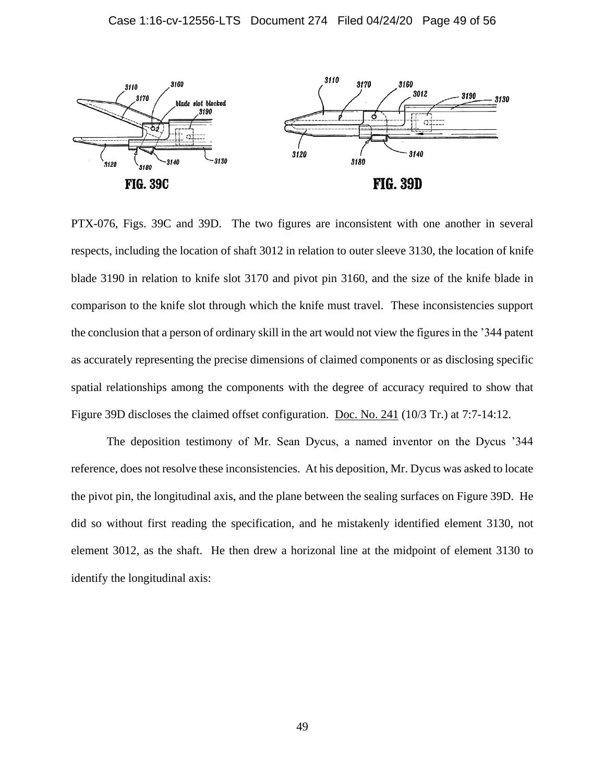

PTX-076, Figs. 39C and 39D. The two figures are inconsistent with one another in several respects, including the location of shaft 3012 in relation to outer sleeve 3130, the location of knife blade 3190 in relation to knife slot 3170 and pivot pin 3160, and the size of the knife blade in comparison to the knife slot through which the knife must travel. These inconsistencies support the conclusion that a person of ordinary skill in the art would not view the figures in the '344 patent as accurately representing the precise dimensions of claimed components or as disclosing specific spatial relationships among the components with the degree of accuracy required to show that Figure 39D discloses the claimed offset configuration. [Doc. No. 241](https://ecf.mad.uscourts.gov/doc1/09519594197) (10/3 Tr.) at 7:7-14:12.

The deposition testimony of Mr. Sean Dycus, a named inventor on the Dycus '344 reference, does not resolve these inconsistencies. At his deposition, Mr. Dycus was asked to locate the pivot pin, the longitudinal axis, and the plane between the sealing surfaces on Figure 39D. He did so without first reading the specification, and he mistakenly identified element 3130, not element 3012, as the shaft. He then drew a horizonal line at the midpoint of element 3130 to identify the longitudinal axis: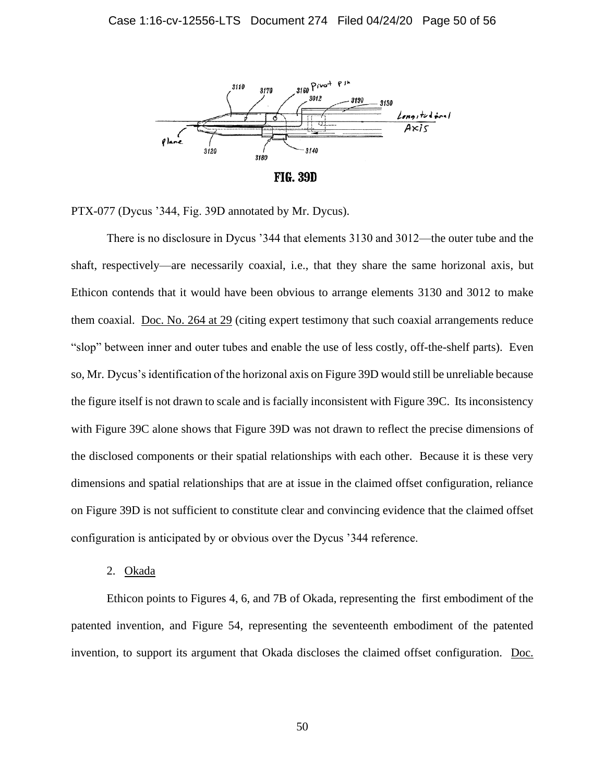

**FIG. 39D** 

PTX-077 (Dycus '344, Fig. 39D annotated by Mr. Dycus).

There is no disclosure in Dycus '344 that elements 3130 and 3012—the outer tube and the shaft, respectively—are necessarily coaxial, i.e., that they share the same horizonal axis, but Ethicon contends that it would have been obvious to arrange elements 3130 and 3012 to make them coaxial. [Doc. No. 264 at 29](https://ecf.mad.uscourts.gov/doc1/09519798050?page=29) (citing expert testimony that such coaxial arrangements reduce "slop" between inner and outer tubes and enable the use of less costly, off-the-shelf parts). Even so, Mr. Dycus's identification of the horizonal axis on Figure 39D would still be unreliable because the figure itself is not drawn to scale and is facially inconsistent with Figure 39C. Its inconsistency with Figure 39C alone shows that Figure 39D was not drawn to reflect the precise dimensions of the disclosed components or their spatial relationships with each other. Because it is these very dimensions and spatial relationships that are at issue in the claimed offset configuration, reliance on Figure 39D is not sufficient to constitute clear and convincing evidence that the claimed offset configuration is anticipated by or obvious over the Dycus '344 reference.

2. Okada

Ethicon points to Figures 4, 6, and 7B of Okada, representing the first embodiment of the patented invention, and Figure 54, representing the seventeenth embodiment of the patented invention, to support its argument that Okada discloses the claimed offset configuration. [Doc.](https://ecf.mad.uscourts.gov/doc1/09519798050?page=30)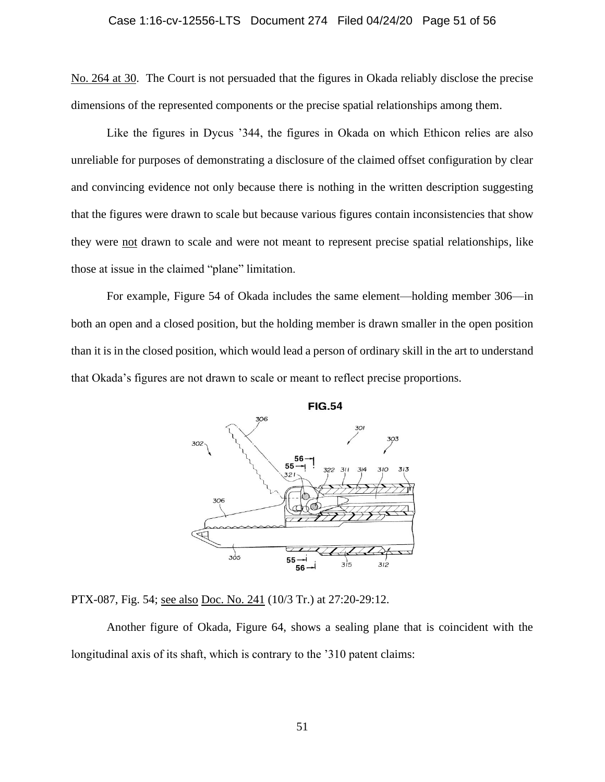No. [264 at 30.](https://ecf.mad.uscourts.gov/doc1/09519798050?page=30) The Court is not persuaded that the figures in Okada reliably disclose the precise dimensions of the represented components or the precise spatial relationships among them.

Like the figures in Dycus '344, the figures in Okada on which Ethicon relies are also unreliable for purposes of demonstrating a disclosure of the claimed offset configuration by clear and convincing evidence not only because there is nothing in the written description suggesting that the figures were drawn to scale but because various figures contain inconsistencies that show they were not drawn to scale and were not meant to represent precise spatial relationships, like those at issue in the claimed "plane" limitation.

For example, Figure 54 of Okada includes the same element—holding member 306—in both an open and a closed position, but the holding member is drawn smaller in the open position than it is in the closed position, which would lead a person of ordinary skill in the art to understand that Okada's figures are not drawn to scale or meant to reflect precise proportions.



PTX-087, Fig. 54; see also [Doc. No. 241](https://ecf.mad.uscourts.gov/doc1/09519594197) (10/3 Tr.) at 27:20-29:12.

Another figure of Okada, Figure 64, shows a sealing plane that is coincident with the longitudinal axis of its shaft, which is contrary to the '310 patent claims: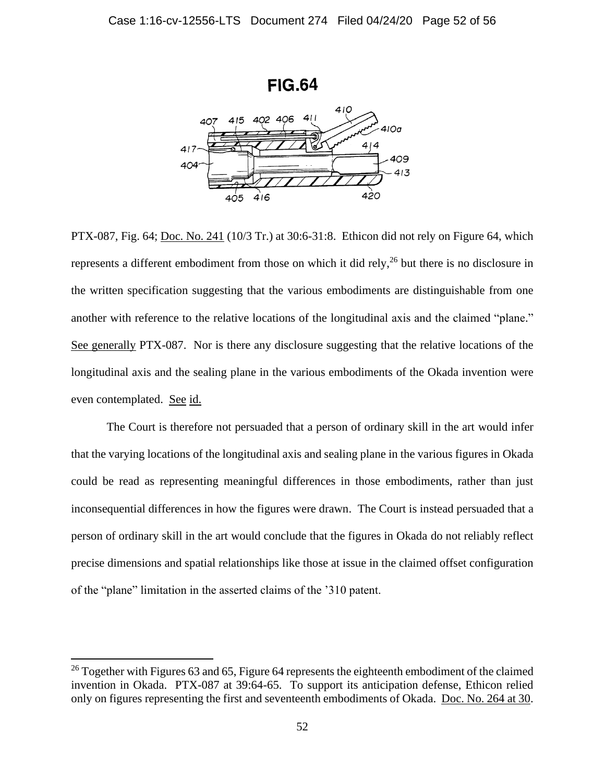

PTX-087, Fig. 64; [Doc. No. 241](https://ecf.mad.uscourts.gov/doc1/09519594197) (10/3 Tr.) at 30:6-31:8. Ethicon did not rely on Figure 64, which represents a different embodiment from those on which it did rely,<sup>26</sup> but there is no disclosure in the written specification suggesting that the various embodiments are distinguishable from one another with reference to the relative locations of the longitudinal axis and the claimed "plane." See generally PTX-087. Nor is there any disclosure suggesting that the relative locations of the longitudinal axis and the sealing plane in the various embodiments of the Okada invention were even contemplated. See id.

The Court is therefore not persuaded that a person of ordinary skill in the art would infer that the varying locations of the longitudinal axis and sealing plane in the various figures in Okada could be read as representing meaningful differences in those embodiments, rather than just inconsequential differences in how the figures were drawn. The Court is instead persuaded that a person of ordinary skill in the art would conclude that the figures in Okada do not reliably reflect precise dimensions and spatial relationships like those at issue in the claimed offset configuration of the "plane" limitation in the asserted claims of the '310 patent.

<sup>&</sup>lt;sup>26</sup> Together with Figures 63 and 65, Figure 64 represents the eighteenth embodiment of the claimed invention in Okada. PTX-087 at 39:64-65. To support its anticipation defense, Ethicon relied only on figures representing the first and seventeenth embodiments of Okada. [Doc. No. 264 at 30.](https://ecf.mad.uscourts.gov/doc1/09519798050?page=30)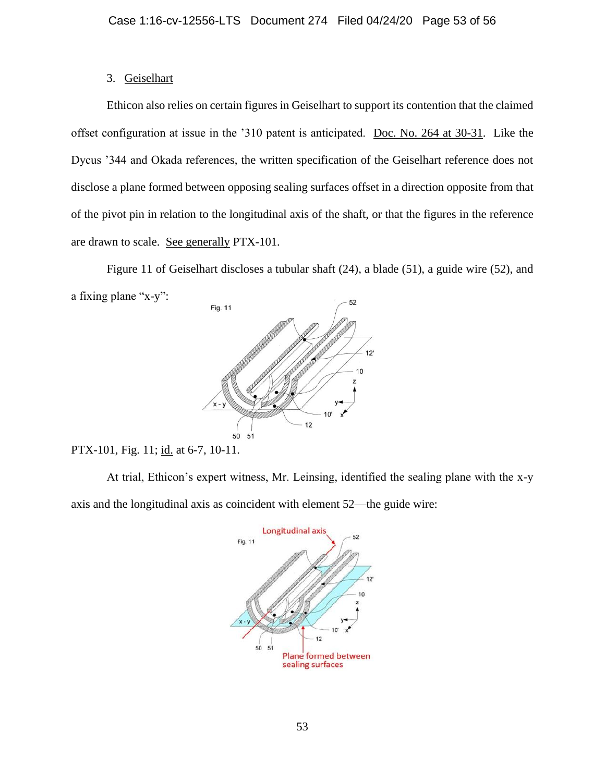# 3. Geiselhart

Ethicon also relies on certain figures in Geiselhart to support its contention that the claimed offset configuration at issue in the '310 patent is anticipated. [Doc. No. 264 at 30-31.](https://ecf.mad.uscourts.gov/doc1/09519798050?page=30) Like the Dycus '344 and Okada references, the written specification of the Geiselhart reference does not disclose a plane formed between opposing sealing surfaces offset in a direction opposite from that of the pivot pin in relation to the longitudinal axis of the shaft, or that the figures in the reference are drawn to scale. See generally PTX-101.

Figure 11 of Geiselhart discloses a tubular shaft (24), a blade (51), a guide wire (52), and a fixing plane "x-y":



PTX-101, Fig. 11; id. at 6-7, 10-11.

At trial, Ethicon's expert witness, Mr. Leinsing, identified the sealing plane with the x-y axis and the longitudinal axis as coincident with element 52—the guide wire:

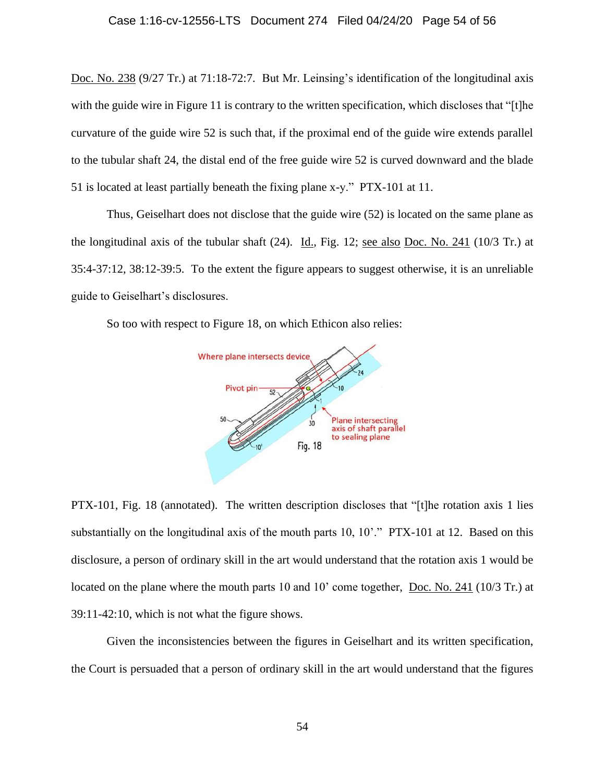[Doc. No. 238](https://ecf.mad.uscourts.gov/doc1/09519594181) (9/27 Tr.) at 71:18-72:7. But Mr. Leinsing's identification of the longitudinal axis with the guide wire in Figure 11 is contrary to the written specification, which discloses that "[t]he curvature of the guide wire 52 is such that, if the proximal end of the guide wire extends parallel to the tubular shaft 24, the distal end of the free guide wire 52 is curved downward and the blade 51 is located at least partially beneath the fixing plane x-y." PTX-101 at 11.

Thus, Geiselhart does not disclose that the guide wire (52) is located on the same plane as the longitudinal axis of the tubular shaft (24). Id., Fig. 12; see also [Doc. No. 241](https://ecf.mad.uscourts.gov/doc1/09519594197) (10/3 Tr.) at 35:4-37:12, 38:12-39:5. To the extent the figure appears to suggest otherwise, it is an unreliable guide to Geiselhart's disclosures.

So too with respect to Figure 18, on which Ethicon also relies:



PTX-101, Fig. 18 (annotated). The written description discloses that "[t]he rotation axis 1 lies substantially on the longitudinal axis of the mouth parts 10, 10'." PTX-101 at 12. Based on this disclosure, a person of ordinary skill in the art would understand that the rotation axis 1 would be located on the plane where the mouth parts 10 and 10' come together, [Doc. No. 241](https://ecf.mad.uscourts.gov/doc1/09519594197) (10/3 Tr.) at 39:11-42:10, which is not what the figure shows.

Given the inconsistencies between the figures in Geiselhart and its written specification, the Court is persuaded that a person of ordinary skill in the art would understand that the figures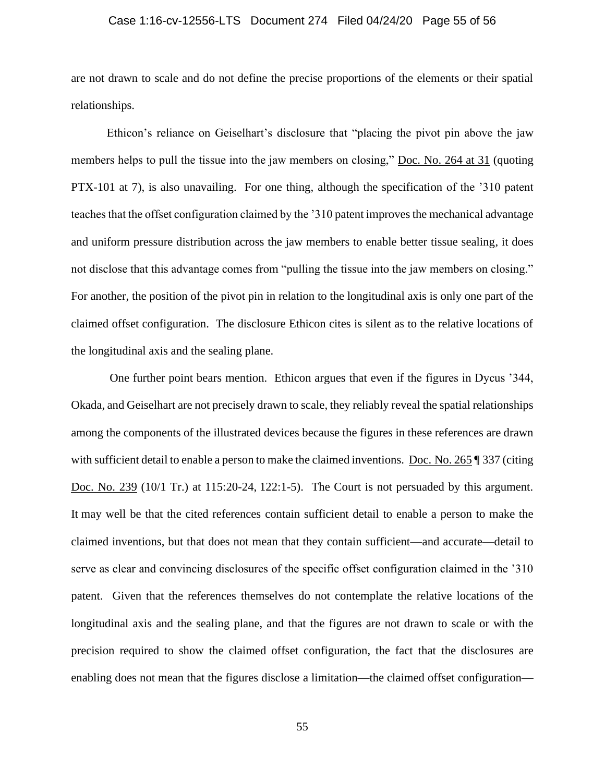# Case 1:16-cv-12556-LTS Document 274 Filed 04/24/20 Page 55 of 56

are not drawn to scale and do not define the precise proportions of the elements or their spatial relationships.

Ethicon's reliance on Geiselhart's disclosure that "placing the pivot pin above the jaw members helps to pull the tissue into the jaw members on closing," [Doc. No. 264 at 31](https://ecf.mad.uscourts.gov/doc1/09519798050?page=31) (quoting PTX-101 at 7), is also unavailing. For one thing, although the specification of the '310 patent teaches that the offset configuration claimed by the '310 patent improves the mechanical advantage and uniform pressure distribution across the jaw members to enable better tissue sealing, it does not disclose that this advantage comes from "pulling the tissue into the jaw members on closing." For another, the position of the pivot pin in relation to the longitudinal axis is only one part of the claimed offset configuration. The disclosure Ethicon cites is silent as to the relative locations of the longitudinal axis and the sealing plane.

One further point bears mention. Ethicon argues that even if the figures in Dycus '344, Okada, and Geiselhart are not precisely drawn to scale, they reliably reveal the spatial relationships among the components of the illustrated devices because the figures in these references are drawn with sufficient detail to enable a person to make the claimed inventions. Doc. [No. 265](https://ecf.mad.uscourts.gov/doc1/09519798070) | 337 (citing [Doc. No. 239](https://ecf.mad.uscourts.gov/doc1/09519594186) (10/1 Tr.) at 115:20-24, 122:1-5). The Court is not persuaded by this argument. It may well be that the cited references contain sufficient detail to enable a person to make the claimed inventions, but that does not mean that they contain sufficient—and accurate—detail to serve as clear and convincing disclosures of the specific offset configuration claimed in the '310 patent. Given that the references themselves do not contemplate the relative locations of the longitudinal axis and the sealing plane, and that the figures are not drawn to scale or with the precision required to show the claimed offset configuration, the fact that the disclosures are enabling does not mean that the figures disclose a limitation—the claimed offset configuration—